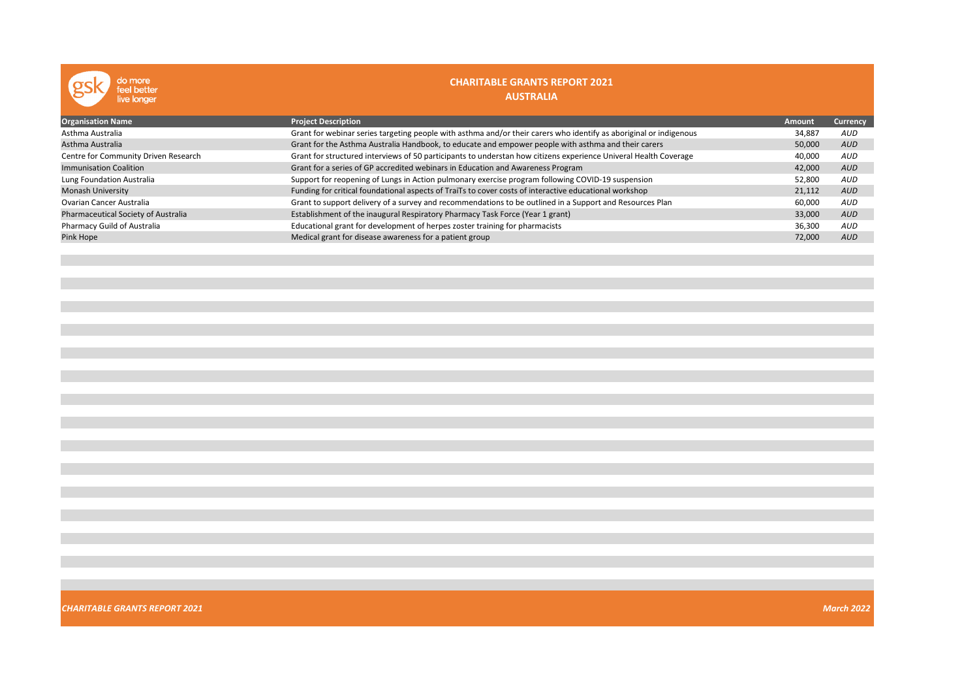| do more<br>feel better<br>live longer | <b>CHARITABLE GRANTS REPORT 2021</b><br><b>AUSTRALIA</b>                                                           |               |            |
|---------------------------------------|--------------------------------------------------------------------------------------------------------------------|---------------|------------|
| <b>Organisation Name</b>              | <b>Project Description</b>                                                                                         | <b>Amount</b> | Currency   |
| Asthma Australia                      | Grant for webinar series targeting people with asthma and/or their carers who identify as aboriginal or indigenous | 34,887        | AUD        |
| Asthma Australia                      | Grant for the Asthma Australia Handbook, to educate and empower people with asthma and their carers                | 50,000        | <b>AUD</b> |
| Centre for Community Driven Research  | Grant for structured interviews of 50 participants to understan how citizens experience Univeral Health Coverage   | 40,000        | AUD        |
| <b>Immunisation Coalition</b>         | Grant for a series of GP accredited webinars in Education and Awareness Program                                    | 42,000        | <b>AUD</b> |
| Lung Foundation Australia             | Support for reopening of Lungs in Action pulmonary exercise program following COVID-19 suspension                  | 52,800        | <b>AUD</b> |
| <b>Monash University</b>              | Funding for critical foundational aspects of TraiTs to cover costs of interactive educational workshop             | 21,112        | <b>AUD</b> |
| <b>Ovarian Cancer Australia</b>       | Grant to support delivery of a survey and recommendations to be outlined in a Support and Resources Plan           | 60,000        | AUD        |
| Pharmaceutical Society of Australia   | Establishment of the inaugural Respiratory Pharmacy Task Force (Year 1 grant)                                      | 33,000        | <b>AUD</b> |
| Pharmacy Guild of Australia           | Educational grant for development of herpes zoster training for pharmacists                                        | 36,300        | AUD        |
| Pink Hope                             | Medical grant for disease awareness for a patient group                                                            | 72,000        | <b>AUD</b> |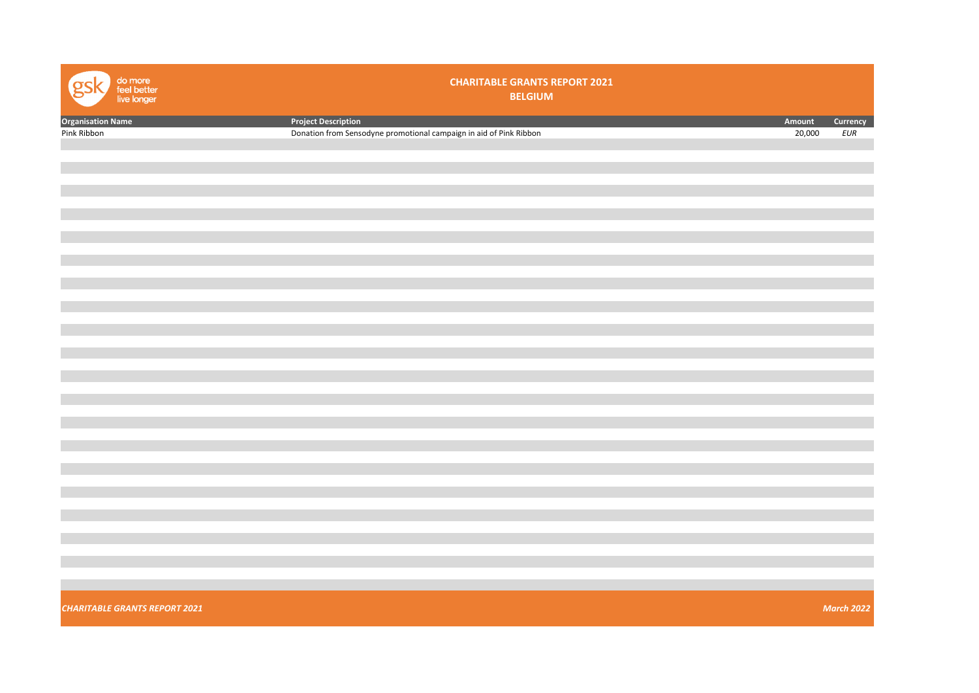| do more<br>feel better<br>live longer | <b>CHARITABLE GRANTS REPORT 2021</b><br><b>BELGIUM</b>             |        |                   |
|---------------------------------------|--------------------------------------------------------------------|--------|-------------------|
| <b>Organisation Name</b>              | <b>Project Description</b>                                         | Amount | Currency          |
| Pink Ribbon                           | Donation from Sensodyne promotional campaign in aid of Pink Ribbon | 20,000 | EUR               |
|                                       |                                                                    |        |                   |
|                                       |                                                                    |        |                   |
|                                       |                                                                    |        |                   |
|                                       |                                                                    |        |                   |
|                                       |                                                                    |        |                   |
|                                       |                                                                    |        |                   |
|                                       |                                                                    |        |                   |
|                                       |                                                                    |        |                   |
|                                       |                                                                    |        |                   |
|                                       |                                                                    |        |                   |
|                                       |                                                                    |        |                   |
|                                       |                                                                    |        |                   |
|                                       |                                                                    |        |                   |
|                                       |                                                                    |        |                   |
|                                       |                                                                    |        |                   |
|                                       |                                                                    |        |                   |
|                                       |                                                                    |        |                   |
|                                       |                                                                    |        |                   |
|                                       |                                                                    |        |                   |
|                                       |                                                                    |        |                   |
|                                       |                                                                    |        |                   |
|                                       |                                                                    |        |                   |
|                                       |                                                                    |        |                   |
|                                       |                                                                    |        |                   |
|                                       |                                                                    |        |                   |
|                                       |                                                                    |        |                   |
|                                       |                                                                    |        |                   |
|                                       |                                                                    |        |                   |
|                                       |                                                                    |        |                   |
|                                       |                                                                    |        |                   |
|                                       |                                                                    |        |                   |
|                                       |                                                                    |        |                   |
|                                       |                                                                    |        |                   |
|                                       |                                                                    |        |                   |
|                                       |                                                                    |        |                   |
|                                       |                                                                    |        |                   |
|                                       |                                                                    |        |                   |
|                                       |                                                                    |        |                   |
| <b>CHARITABLE GRANTS REPORT 2021</b>  |                                                                    |        | <b>March 2022</b> |
|                                       |                                                                    |        |                   |
|                                       |                                                                    |        |                   |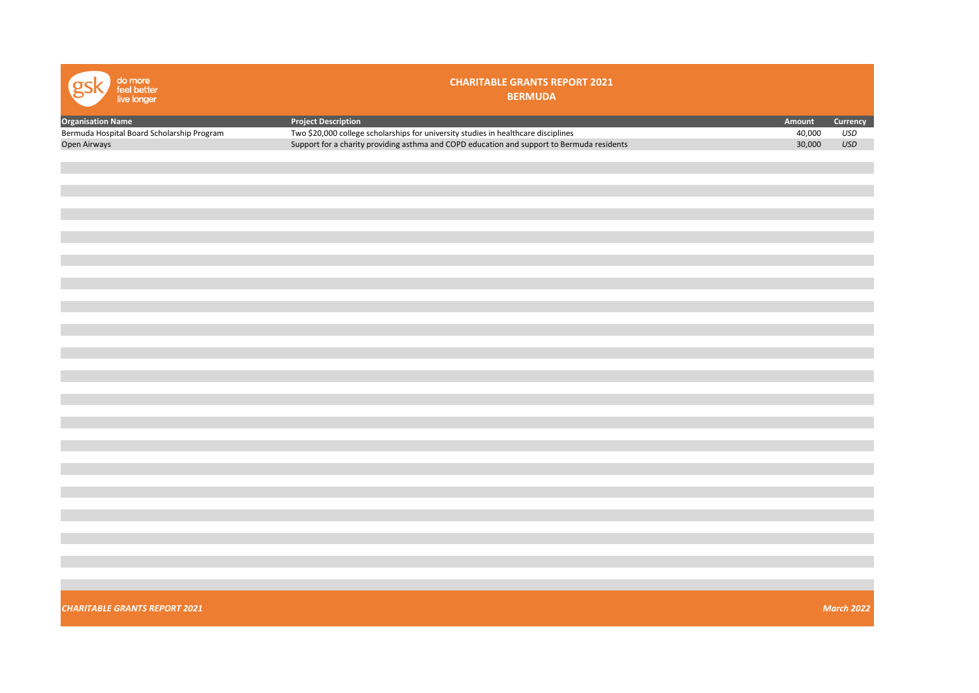| do more<br>feel better<br>live longer      | <b>CHARITABLE GRANTS REPORT 2021</b><br><b>BERMUDA</b>                                     |        |                   |
|--------------------------------------------|--------------------------------------------------------------------------------------------|--------|-------------------|
| <b>Organisation Name</b>                   | <b>Project Description</b>                                                                 | Amount | Currency          |
| Bermuda Hospital Board Scholarship Program | Two \$20,000 college scholarships for university studies in healthcare disciplines         | 40,000 | USD               |
| Open Airways                               | Support for a charity providing asthma and COPD education and support to Bermuda residents | 30,000 | USD               |
|                                            |                                                                                            |        |                   |
|                                            |                                                                                            |        |                   |
|                                            |                                                                                            |        |                   |
|                                            |                                                                                            |        |                   |
|                                            |                                                                                            |        |                   |
|                                            |                                                                                            |        |                   |
|                                            |                                                                                            |        |                   |
|                                            |                                                                                            |        |                   |
|                                            |                                                                                            |        |                   |
|                                            |                                                                                            |        |                   |
|                                            |                                                                                            |        |                   |
|                                            |                                                                                            |        |                   |
|                                            |                                                                                            |        |                   |
|                                            |                                                                                            |        |                   |
|                                            |                                                                                            |        |                   |
|                                            |                                                                                            |        |                   |
|                                            |                                                                                            |        |                   |
|                                            |                                                                                            |        |                   |
|                                            |                                                                                            |        |                   |
|                                            |                                                                                            |        |                   |
|                                            |                                                                                            |        |                   |
|                                            |                                                                                            |        |                   |
|                                            |                                                                                            |        |                   |
|                                            |                                                                                            |        |                   |
|                                            |                                                                                            |        |                   |
|                                            |                                                                                            |        |                   |
|                                            |                                                                                            |        |                   |
|                                            |                                                                                            |        |                   |
|                                            |                                                                                            |        |                   |
|                                            |                                                                                            |        |                   |
|                                            |                                                                                            |        |                   |
|                                            |                                                                                            |        |                   |
|                                            |                                                                                            |        |                   |
|                                            |                                                                                            |        |                   |
|                                            |                                                                                            |        |                   |
|                                            |                                                                                            |        |                   |
|                                            |                                                                                            |        |                   |
|                                            |                                                                                            |        |                   |
| <b>CHARITABLE GRANTS REPORT 2021</b>       |                                                                                            |        | <b>March 2022</b> |
|                                            |                                                                                            |        |                   |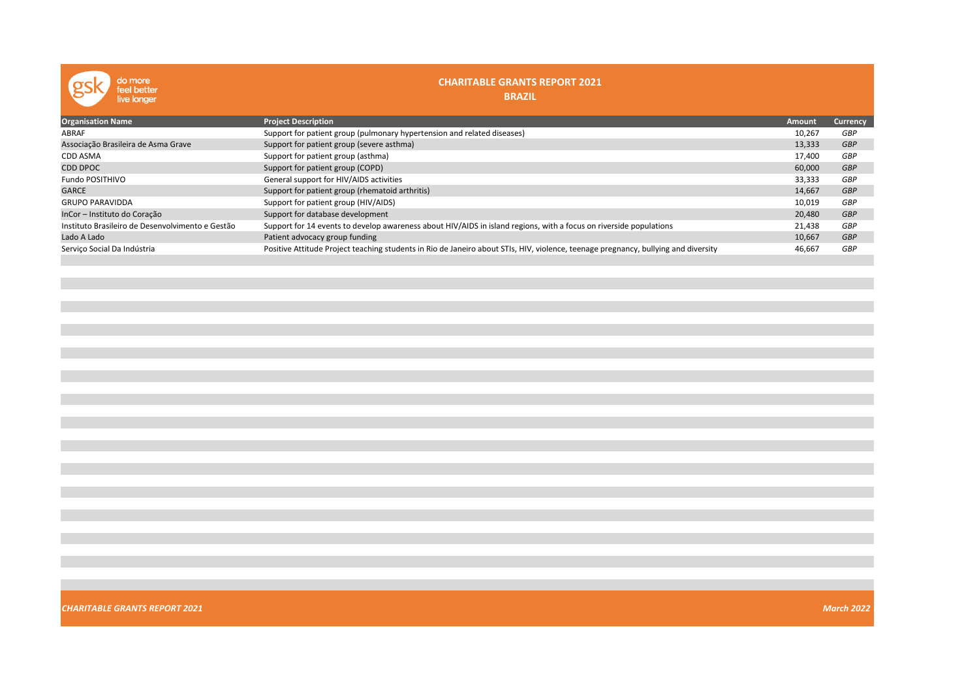| do more<br>feel better<br>live longer            | <b>CHARITABLE GRANTS REPORT 2021</b><br><b>BRAZIL</b>                                                                              |               |                 |
|--------------------------------------------------|------------------------------------------------------------------------------------------------------------------------------------|---------------|-----------------|
| <b>Organisation Name</b>                         | <b>Project Description</b>                                                                                                         | <b>Amount</b> | <b>Currency</b> |
| <b>ABRAF</b>                                     | Support for patient group (pulmonary hypertension and related diseases)                                                            | 10,267        | GBP             |
| Associação Brasileira de Asma Grave              | Support for patient group (severe asthma)                                                                                          | 13,333        | <b>GBP</b>      |
| <b>CDD ASMA</b>                                  | Support for patient group (asthma)                                                                                                 | 17,400        | GBP             |
| <b>CDD DPOC</b>                                  | Support for patient group (COPD)                                                                                                   | 60,000        | <b>GBP</b>      |
| Fundo POSITHIVO                                  | General support for HIV/AIDS activities                                                                                            | 33,333        | GBP             |
| <b>GARCE</b>                                     | Support for patient group (rhematoid arthritis)                                                                                    | 14,667        | <b>GBP</b>      |
| <b>GRUPO PARAVIDDA</b>                           | Support for patient group (HIV/AIDS)                                                                                               | 10,019        | GBP             |
| InCor - Instituto do Coração                     | Support for database development                                                                                                   | 20,480        | <b>GBP</b>      |
| Instituto Brasileiro de Desenvolvimento e Gestão | Support for 14 events to develop awareness about HIV/AIDS in island regions, with a focus on riverside populations                 | 21,438        | GBP             |
| Lado A Lado                                      | Patient advocacy group funding                                                                                                     | 10,667        | <b>GBP</b>      |
| Servico Social Da Indústria                      | Positive Attitude Project teaching students in Rio de Janeiro about STIs, HIV, violence, teenage pregnancy, bullying and diversity | 46,667        | GBP             |
|                                                  |                                                                                                                                    |               |                 |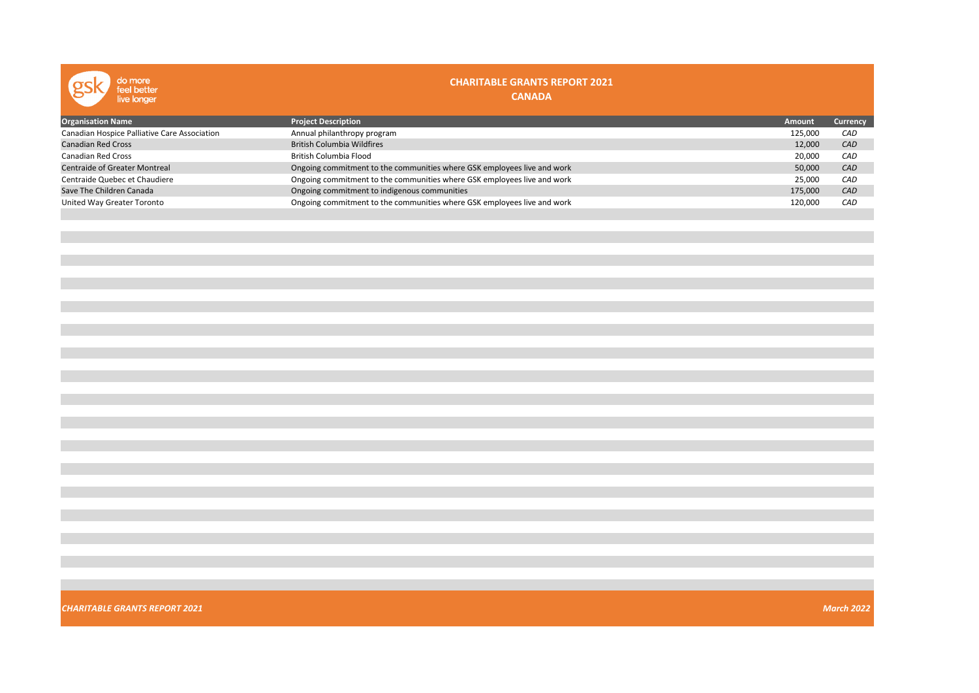| do more<br>feel better<br>live longer        | <b>CHARITABLE GRANTS REPORT 2021</b><br><b>CANADA</b>                   |         |                 |
|----------------------------------------------|-------------------------------------------------------------------------|---------|-----------------|
| <b>Organisation Name</b>                     | <b>Project Description</b>                                              | Amount  | <b>Currency</b> |
| Canadian Hospice Palliative Care Association | Annual philanthropy program                                             | 125,000 | CAD             |
| <b>Canadian Red Cross</b>                    | <b>British Columbia Wildfires</b>                                       | 12,000  | CAD             |
| Canadian Red Cross                           | British Columbia Flood                                                  | 20,000  | CAD             |
| <b>Centraide of Greater Montreal</b>         | Ongoing commitment to the communities where GSK employees live and work | 50,000  | CAD             |
| Centraide Quebec et Chaudiere                | Ongoing commitment to the communities where GSK employees live and work | 25,000  | CAD             |
| Save The Children Canada                     | Ongoing commitment to indigenous communities                            | 175,000 | CAD             |
| United Way Greater Toronto                   | Ongoing commitment to the communities where GSK employees live and work | 120,000 | CAD             |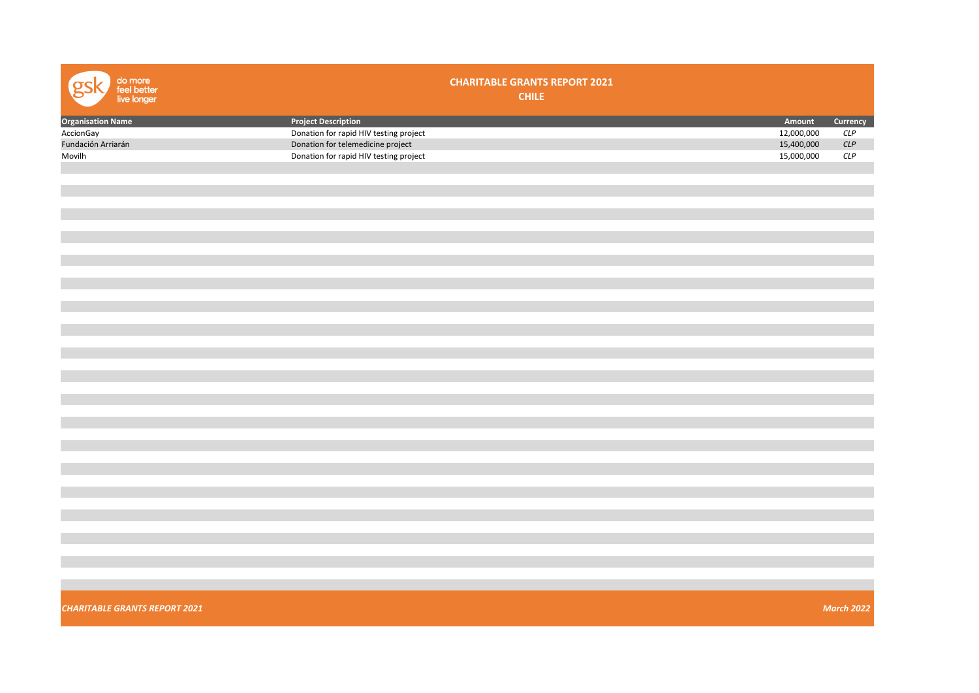| <b>Project Description</b><br>Amount<br>Currency<br><b>Organisation Name</b><br>Donation for rapid HIV testing project<br>12,000,000<br>CLP<br>15,400,000<br>Donation for telemedicine project<br>CLP<br>15,000,000<br>Donation for rapid HIV testing project<br>$CLP$<br><b>March 2022</b> | do more<br>feel better<br>live longer | <b>CHARITABLE GRANTS REPORT 2021</b><br><b>CHILE</b> |  |
|---------------------------------------------------------------------------------------------------------------------------------------------------------------------------------------------------------------------------------------------------------------------------------------------|---------------------------------------|------------------------------------------------------|--|
|                                                                                                                                                                                                                                                                                             |                                       |                                                      |  |
|                                                                                                                                                                                                                                                                                             | AccionGay                             |                                                      |  |
|                                                                                                                                                                                                                                                                                             | Fundación Arriarán                    |                                                      |  |
|                                                                                                                                                                                                                                                                                             | Movilh                                |                                                      |  |
|                                                                                                                                                                                                                                                                                             |                                       |                                                      |  |
|                                                                                                                                                                                                                                                                                             |                                       |                                                      |  |
|                                                                                                                                                                                                                                                                                             |                                       |                                                      |  |
|                                                                                                                                                                                                                                                                                             |                                       |                                                      |  |
|                                                                                                                                                                                                                                                                                             |                                       |                                                      |  |
|                                                                                                                                                                                                                                                                                             |                                       |                                                      |  |
|                                                                                                                                                                                                                                                                                             |                                       |                                                      |  |
|                                                                                                                                                                                                                                                                                             |                                       |                                                      |  |
|                                                                                                                                                                                                                                                                                             |                                       |                                                      |  |
|                                                                                                                                                                                                                                                                                             |                                       |                                                      |  |
|                                                                                                                                                                                                                                                                                             |                                       |                                                      |  |
|                                                                                                                                                                                                                                                                                             |                                       |                                                      |  |
|                                                                                                                                                                                                                                                                                             |                                       |                                                      |  |
|                                                                                                                                                                                                                                                                                             |                                       |                                                      |  |
|                                                                                                                                                                                                                                                                                             |                                       |                                                      |  |
|                                                                                                                                                                                                                                                                                             |                                       |                                                      |  |
|                                                                                                                                                                                                                                                                                             |                                       |                                                      |  |
|                                                                                                                                                                                                                                                                                             |                                       |                                                      |  |
|                                                                                                                                                                                                                                                                                             |                                       |                                                      |  |
|                                                                                                                                                                                                                                                                                             |                                       |                                                      |  |
|                                                                                                                                                                                                                                                                                             |                                       |                                                      |  |
|                                                                                                                                                                                                                                                                                             |                                       |                                                      |  |
|                                                                                                                                                                                                                                                                                             |                                       |                                                      |  |
|                                                                                                                                                                                                                                                                                             |                                       |                                                      |  |
|                                                                                                                                                                                                                                                                                             |                                       |                                                      |  |
|                                                                                                                                                                                                                                                                                             |                                       |                                                      |  |
|                                                                                                                                                                                                                                                                                             |                                       |                                                      |  |
|                                                                                                                                                                                                                                                                                             |                                       |                                                      |  |
|                                                                                                                                                                                                                                                                                             |                                       |                                                      |  |
|                                                                                                                                                                                                                                                                                             |                                       |                                                      |  |
|                                                                                                                                                                                                                                                                                             |                                       |                                                      |  |
|                                                                                                                                                                                                                                                                                             |                                       |                                                      |  |
|                                                                                                                                                                                                                                                                                             |                                       |                                                      |  |
|                                                                                                                                                                                                                                                                                             |                                       |                                                      |  |
|                                                                                                                                                                                                                                                                                             |                                       |                                                      |  |
|                                                                                                                                                                                                                                                                                             | <b>CHARITABLE GRANTS REPORT 2021</b>  |                                                      |  |
|                                                                                                                                                                                                                                                                                             |                                       |                                                      |  |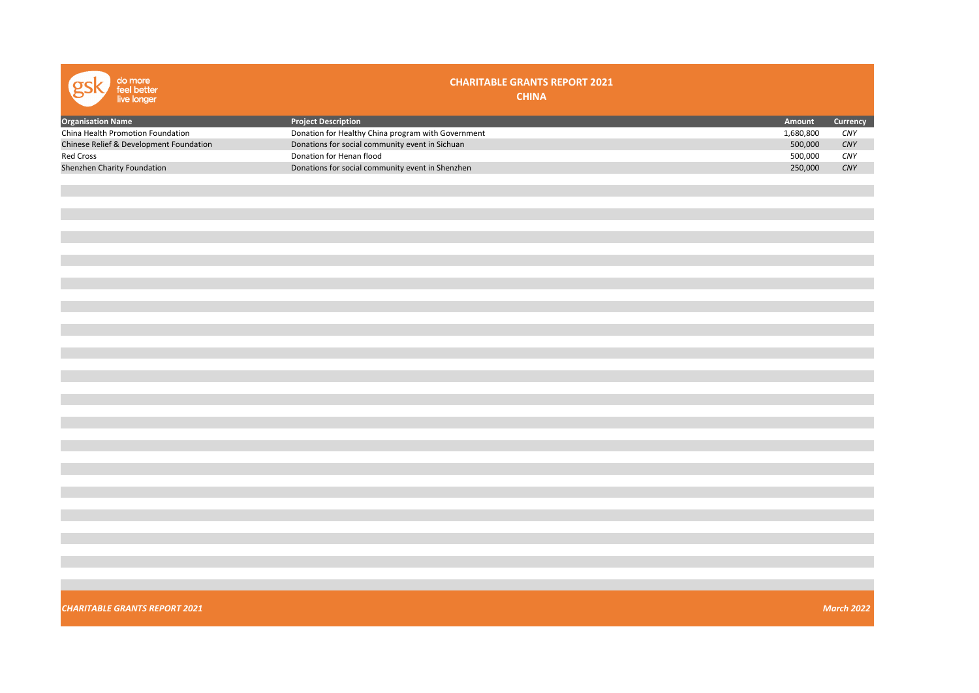| do more<br>feel better<br>live longer   | <b>CHARITABLE GRANTS REPORT 2021</b><br><b>CHINA</b> |           |                   |
|-----------------------------------------|------------------------------------------------------|-----------|-------------------|
| <b>Organisation Name</b>                | <b>Project Description</b>                           | Amount    | Currency          |
| China Health Promotion Foundation       | Donation for Healthy China program with Government   | 1,680,800 | CNY               |
| Chinese Relief & Development Foundation | Donations for social community event in Sichuan      | 500,000   | CNY               |
| Red Cross                               | Donation for Henan flood                             | 500,000   | CNY               |
| Shenzhen Charity Foundation             | Donations for social community event in Shenzhen     | 250,000   | CNY               |
|                                         |                                                      |           |                   |
|                                         |                                                      |           |                   |
| <b>CHARITABLE GRANTS REPORT 2021</b>    |                                                      |           | <b>March 2022</b> |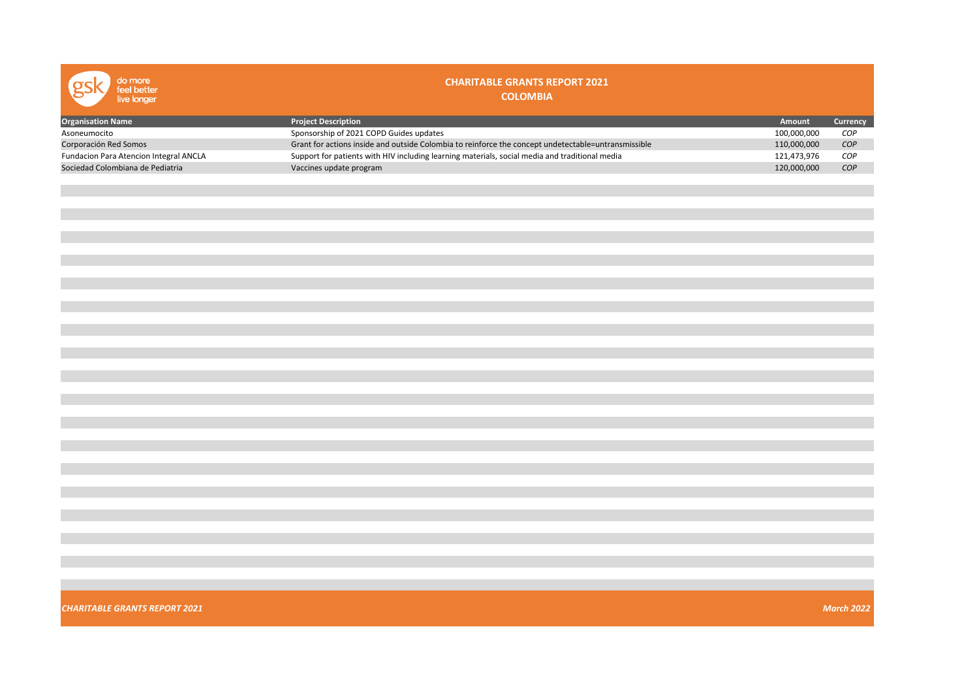| do more<br>feel better<br>live longer  | <b>CHARITABLE GRANTS REPORT 2021</b><br><b>COLOMBIA</b>                                             |             |                   |
|----------------------------------------|-----------------------------------------------------------------------------------------------------|-------------|-------------------|
| <b>Organisation Name</b>               | <b>Project Description</b>                                                                          | Amount      | Currency          |
| Asoneumocito                           | Sponsorship of 2021 COPD Guides updates                                                             | 100,000,000 | COP               |
| Corporación Red Somos                  | Grant for actions inside and outside Colombia to reinforce the concept undetectable=untransmissible | 110,000,000 | COP               |
| Fundacion Para Atencion Integral ANCLA | Support for patients with HIV including learning materials, social media and traditional media      | 121,473,976 | COP               |
| Sociedad Colombiana de Pediatria       | Vaccines update program                                                                             | 120,000,000 | COP               |
|                                        |                                                                                                     |             |                   |
|                                        |                                                                                                     |             |                   |
|                                        |                                                                                                     |             |                   |
|                                        |                                                                                                     |             |                   |
|                                        |                                                                                                     |             |                   |
|                                        |                                                                                                     |             |                   |
|                                        |                                                                                                     |             |                   |
|                                        |                                                                                                     |             |                   |
|                                        |                                                                                                     |             |                   |
|                                        |                                                                                                     |             |                   |
|                                        |                                                                                                     |             |                   |
|                                        |                                                                                                     |             |                   |
|                                        |                                                                                                     |             |                   |
|                                        |                                                                                                     |             |                   |
|                                        |                                                                                                     |             |                   |
|                                        |                                                                                                     |             |                   |
|                                        |                                                                                                     |             |                   |
|                                        |                                                                                                     |             |                   |
|                                        |                                                                                                     |             |                   |
|                                        |                                                                                                     |             |                   |
|                                        |                                                                                                     |             |                   |
|                                        |                                                                                                     |             |                   |
|                                        |                                                                                                     |             |                   |
|                                        |                                                                                                     |             |                   |
|                                        |                                                                                                     |             |                   |
|                                        |                                                                                                     |             |                   |
|                                        |                                                                                                     |             |                   |
|                                        |                                                                                                     |             |                   |
|                                        |                                                                                                     |             |                   |
|                                        |                                                                                                     |             |                   |
| <b>CHARITABLE GRANTS REPORT 2021</b>   |                                                                                                     |             | <b>March 2022</b> |
|                                        |                                                                                                     |             |                   |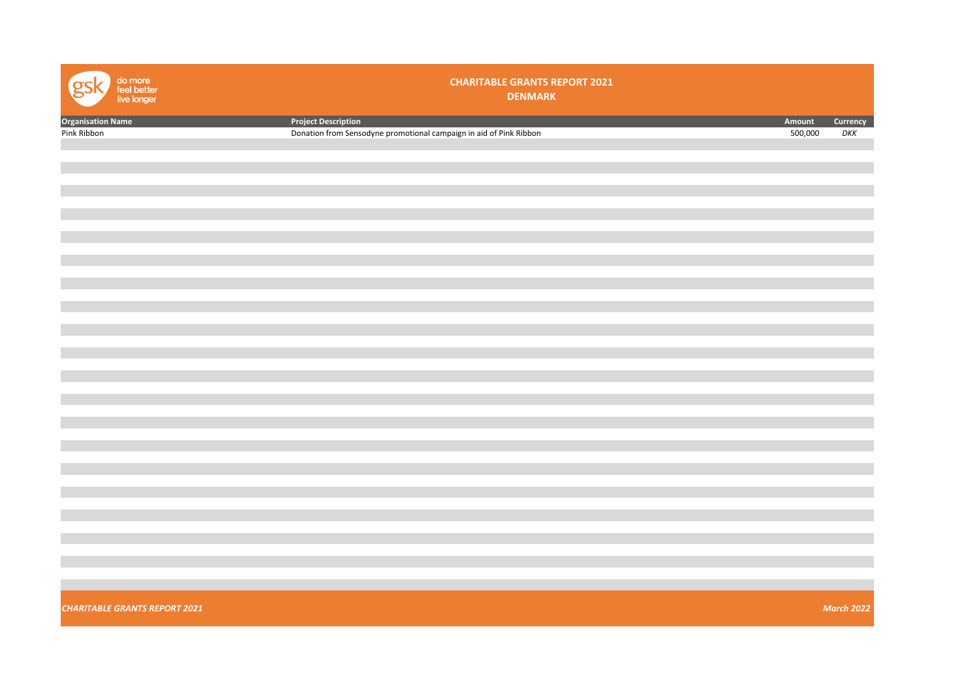| do more<br>feel better<br>live longer | <b>CHARITABLE GRANTS REPORT 2021</b><br><b>DENMARK</b>             |         |                   |
|---------------------------------------|--------------------------------------------------------------------|---------|-------------------|
| <b>Organisation Name</b>              | <b>Project Description</b>                                         | Amount  | Currency          |
| Pink Ribbon                           | Donation from Sensodyne promotional campaign in aid of Pink Ribbon | 500,000 | DKK               |
|                                       |                                                                    |         |                   |
|                                       |                                                                    |         |                   |
|                                       |                                                                    |         |                   |
|                                       |                                                                    |         |                   |
|                                       |                                                                    |         |                   |
|                                       |                                                                    |         |                   |
|                                       |                                                                    |         |                   |
|                                       |                                                                    |         |                   |
|                                       |                                                                    |         |                   |
|                                       |                                                                    |         |                   |
|                                       |                                                                    |         |                   |
|                                       |                                                                    |         |                   |
|                                       |                                                                    |         |                   |
|                                       |                                                                    |         |                   |
|                                       |                                                                    |         |                   |
|                                       |                                                                    |         |                   |
|                                       |                                                                    |         |                   |
|                                       |                                                                    |         |                   |
|                                       |                                                                    |         |                   |
|                                       |                                                                    |         |                   |
|                                       |                                                                    |         |                   |
|                                       |                                                                    |         |                   |
|                                       |                                                                    |         |                   |
|                                       |                                                                    |         |                   |
|                                       |                                                                    |         |                   |
|                                       |                                                                    |         |                   |
|                                       |                                                                    |         |                   |
|                                       |                                                                    |         |                   |
|                                       |                                                                    |         |                   |
|                                       |                                                                    |         |                   |
|                                       |                                                                    |         |                   |
|                                       |                                                                    |         |                   |
| <b>CHARITABLE GRANTS REPORT 2021</b>  |                                                                    |         | <b>March 2022</b> |
|                                       |                                                                    |         |                   |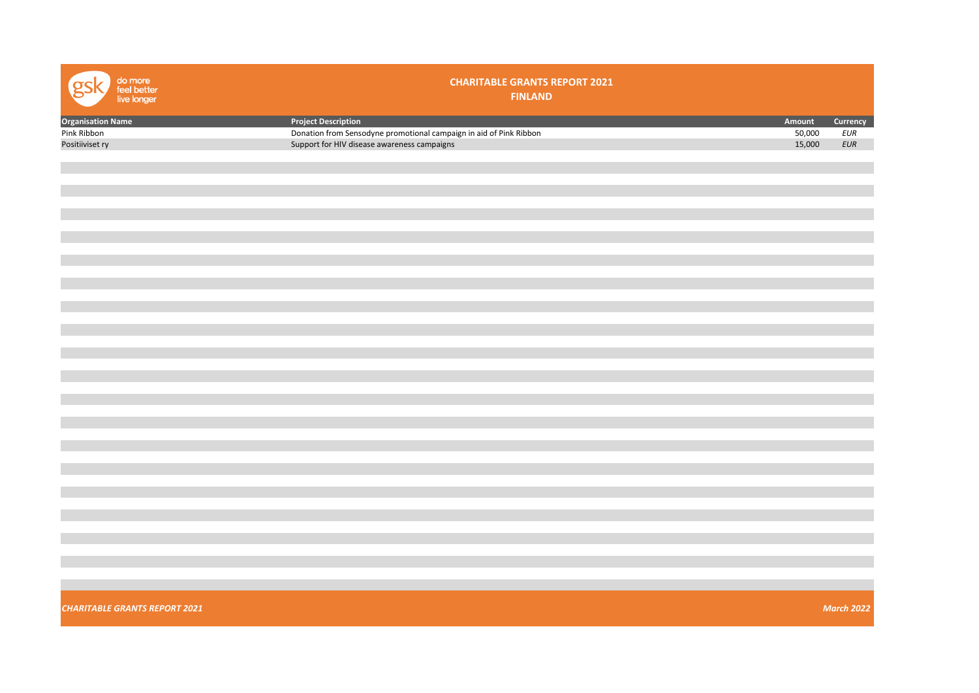| do more<br>feel better<br>live longer | <b>CHARITABLE GRANTS REPORT 2021</b><br><b>FINLAND</b>             |        |                   |
|---------------------------------------|--------------------------------------------------------------------|--------|-------------------|
| <b>Organisation Name</b>              | <b>Project Description</b>                                         | Amount | Currency          |
| Pink Ribbon                           | Donation from Sensodyne promotional campaign in aid of Pink Ribbon | 50,000 | EUR               |
| Positiiviset ry                       | Support for HIV disease awareness campaigns                        | 15,000 | EUR               |
|                                       |                                                                    |        |                   |
|                                       |                                                                    |        |                   |
|                                       |                                                                    |        |                   |
|                                       |                                                                    |        |                   |
|                                       |                                                                    |        |                   |
|                                       |                                                                    |        |                   |
|                                       |                                                                    |        |                   |
|                                       |                                                                    |        |                   |
|                                       |                                                                    |        |                   |
|                                       |                                                                    |        |                   |
|                                       |                                                                    |        |                   |
|                                       |                                                                    |        |                   |
|                                       |                                                                    |        |                   |
|                                       |                                                                    |        |                   |
|                                       |                                                                    |        |                   |
|                                       |                                                                    |        |                   |
|                                       |                                                                    |        |                   |
|                                       |                                                                    |        |                   |
|                                       |                                                                    |        |                   |
|                                       |                                                                    |        |                   |
|                                       |                                                                    |        |                   |
|                                       |                                                                    |        |                   |
|                                       |                                                                    |        |                   |
|                                       |                                                                    |        |                   |
|                                       |                                                                    |        |                   |
|                                       |                                                                    |        |                   |
|                                       |                                                                    |        |                   |
|                                       |                                                                    |        |                   |
|                                       |                                                                    |        |                   |
|                                       |                                                                    |        |                   |
|                                       |                                                                    |        |                   |
|                                       |                                                                    |        |                   |
|                                       |                                                                    |        |                   |
|                                       |                                                                    |        |                   |
|                                       |                                                                    |        |                   |
|                                       |                                                                    |        |                   |
|                                       |                                                                    |        |                   |
| <b>CHARITABLE GRANTS REPORT 2021</b>  |                                                                    |        | <b>March 2022</b> |
|                                       |                                                                    |        |                   |
|                                       |                                                                    |        |                   |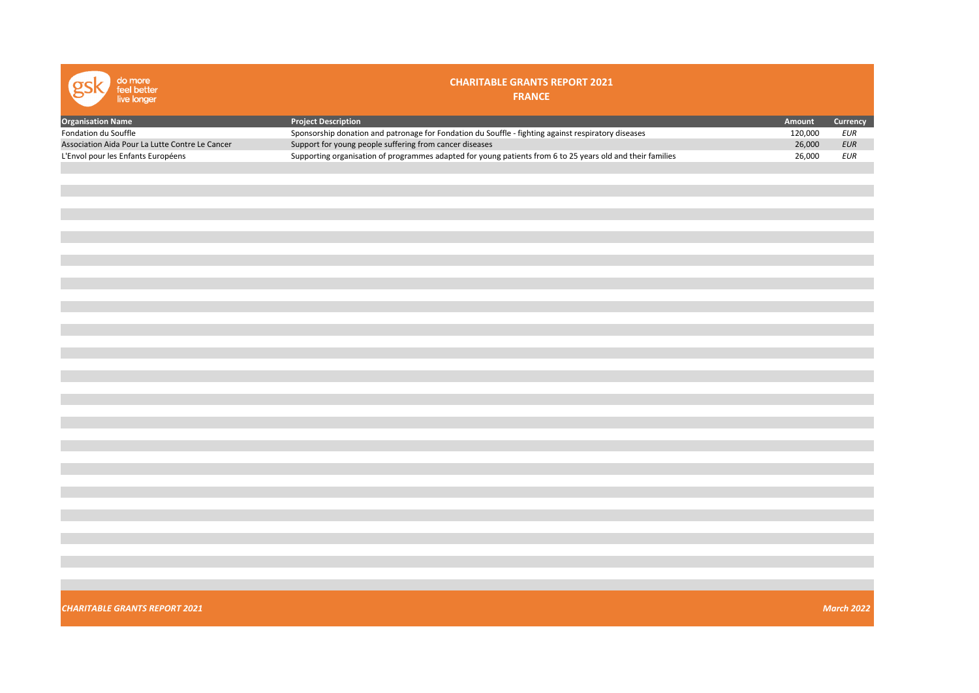| do more<br>feel better<br>live longer           | <b>CHARITABLE GRANTS REPORT 2021</b><br><b>FRANCE</b>                                                      |         |                   |
|-------------------------------------------------|------------------------------------------------------------------------------------------------------------|---------|-------------------|
| <b>Organisation Name</b>                        | <b>Project Description</b>                                                                                 | Amount  | Currency          |
| Fondation du Souffle                            | Sponsorship donation and patronage for Fondation du Souffle - fighting against respiratory diseases        | 120,000 | $E \cup R$        |
| Association Aida Pour La Lutte Contre Le Cancer | Support for young people suffering from cancer diseases                                                    | 26,000  | $E \cup R$        |
| L'Envol pour les Enfants Européens              | Supporting organisation of programmes adapted for young patients from 6 to 25 years old and their families | 26,000  | $E \cup R$        |
|                                                 |                                                                                                            |         |                   |
|                                                 |                                                                                                            |         |                   |
|                                                 |                                                                                                            |         |                   |
|                                                 |                                                                                                            |         |                   |
|                                                 |                                                                                                            |         |                   |
|                                                 |                                                                                                            |         |                   |
|                                                 |                                                                                                            |         |                   |
|                                                 |                                                                                                            |         |                   |
|                                                 |                                                                                                            |         |                   |
|                                                 |                                                                                                            |         |                   |
|                                                 |                                                                                                            |         |                   |
|                                                 |                                                                                                            |         |                   |
|                                                 |                                                                                                            |         |                   |
|                                                 |                                                                                                            |         |                   |
|                                                 |                                                                                                            |         |                   |
|                                                 |                                                                                                            |         |                   |
|                                                 |                                                                                                            |         |                   |
|                                                 |                                                                                                            |         |                   |
|                                                 |                                                                                                            |         |                   |
|                                                 |                                                                                                            |         |                   |
|                                                 |                                                                                                            |         |                   |
|                                                 |                                                                                                            |         |                   |
|                                                 |                                                                                                            |         |                   |
|                                                 |                                                                                                            |         |                   |
|                                                 |                                                                                                            |         |                   |
|                                                 |                                                                                                            |         |                   |
|                                                 |                                                                                                            |         |                   |
|                                                 |                                                                                                            |         |                   |
|                                                 |                                                                                                            |         |                   |
|                                                 |                                                                                                            |         |                   |
|                                                 |                                                                                                            |         |                   |
|                                                 |                                                                                                            |         |                   |
|                                                 |                                                                                                            |         |                   |
|                                                 |                                                                                                            |         |                   |
|                                                 |                                                                                                            |         |                   |
|                                                 |                                                                                                            |         |                   |
|                                                 |                                                                                                            |         |                   |
|                                                 |                                                                                                            |         |                   |
|                                                 |                                                                                                            |         |                   |
| <b>CHARITABLE GRANTS REPORT 2021</b>            |                                                                                                            |         | <b>March 2022</b> |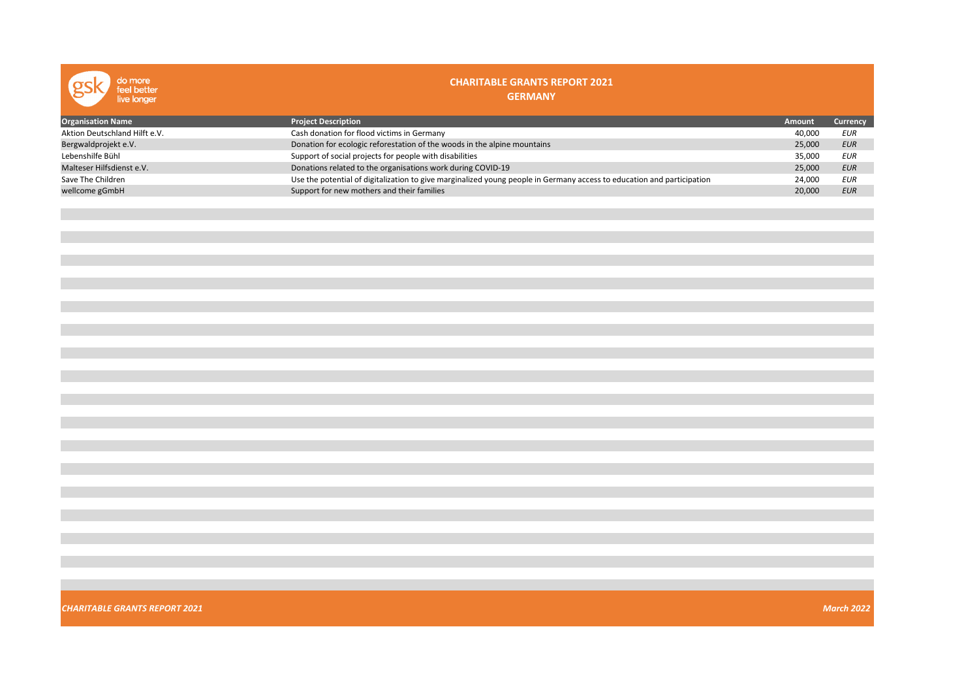| do more<br>feel better<br>live longer | <b>CHARITABLE GRANTS REPORT 2021</b><br><b>GERMANY</b>                                                                 |        |                   |
|---------------------------------------|------------------------------------------------------------------------------------------------------------------------|--------|-------------------|
| <b>Organisation Name</b>              | <b>Project Description</b>                                                                                             | Amount | Currency          |
| Aktion Deutschland Hilft e.V.         | Cash donation for flood victims in Germany                                                                             | 40,000 | <b>EUR</b>        |
| Bergwaldprojekt e.V.                  | Donation for ecologic reforestation of the woods in the alpine mountains                                               | 25,000 | <b>EUR</b>        |
| Lebenshilfe Bühl                      | Support of social projects for people with disabilities                                                                | 35,000 | $E \cup R$        |
| Malteser Hilfsdienst e.V.             | Donations related to the organisations work during COVID-19                                                            | 25,000 | <b>EUR</b>        |
| Save The Children                     | Use the potential of digitalization to give marginalized young people in Germany access to education and participation | 24,000 | <b>EUR</b>        |
| wellcome gGmbH                        | Support for new mothers and their families                                                                             | 20,000 | <b>EUR</b>        |
|                                       |                                                                                                                        |        |                   |
|                                       |                                                                                                                        |        |                   |
|                                       |                                                                                                                        |        |                   |
|                                       |                                                                                                                        |        |                   |
|                                       |                                                                                                                        |        |                   |
|                                       |                                                                                                                        |        |                   |
|                                       |                                                                                                                        |        |                   |
|                                       |                                                                                                                        |        |                   |
|                                       |                                                                                                                        |        |                   |
|                                       |                                                                                                                        |        |                   |
|                                       |                                                                                                                        |        |                   |
|                                       |                                                                                                                        |        |                   |
|                                       |                                                                                                                        |        |                   |
|                                       |                                                                                                                        |        |                   |
|                                       |                                                                                                                        |        |                   |
|                                       |                                                                                                                        |        |                   |
|                                       |                                                                                                                        |        |                   |
|                                       |                                                                                                                        |        |                   |
|                                       |                                                                                                                        |        |                   |
|                                       |                                                                                                                        |        |                   |
|                                       |                                                                                                                        |        |                   |
|                                       |                                                                                                                        |        |                   |
|                                       |                                                                                                                        |        |                   |
|                                       |                                                                                                                        |        |                   |
| <b>CHARITABLE GRANTS REPORT 2021</b>  |                                                                                                                        |        | <b>March 2022</b> |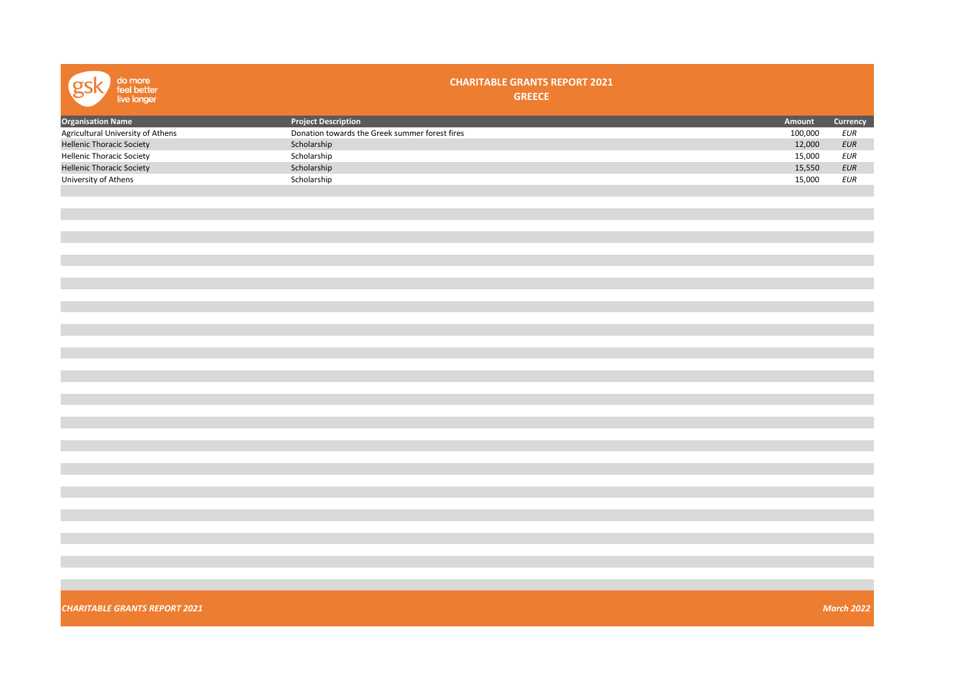| do more<br>feel better<br>live longer | <b>CHARITABLE GRANTS REPORT 2021</b><br><b>GREECE</b> |         |                   |
|---------------------------------------|-------------------------------------------------------|---------|-------------------|
| <b>Organisation Name</b>              | <b>Project Description</b>                            | Amount  | Currency          |
| Agricultural University of Athens     | Donation towards the Greek summer forest fires        | 100,000 | <b>EUR</b>        |
| <b>Hellenic Thoracic Society</b>      | Scholarship                                           | 12,000  | $E \cup R$        |
| <b>Hellenic Thoracic Society</b>      | Scholarship                                           | 15,000  | $E \cup R$        |
| <b>Hellenic Thoracic Society</b>      | Scholarship                                           | 15,550  | EUR               |
| University of Athens                  | Scholarship                                           | 15,000  | EUR               |
|                                       |                                                       |         |                   |
|                                       |                                                       |         |                   |
|                                       |                                                       |         |                   |
|                                       |                                                       |         |                   |
|                                       |                                                       |         |                   |
|                                       |                                                       |         |                   |
|                                       |                                                       |         |                   |
|                                       |                                                       |         |                   |
|                                       |                                                       |         |                   |
| <b>CHARITABLE GRANTS REPORT 2021</b>  |                                                       |         | <b>March 2022</b> |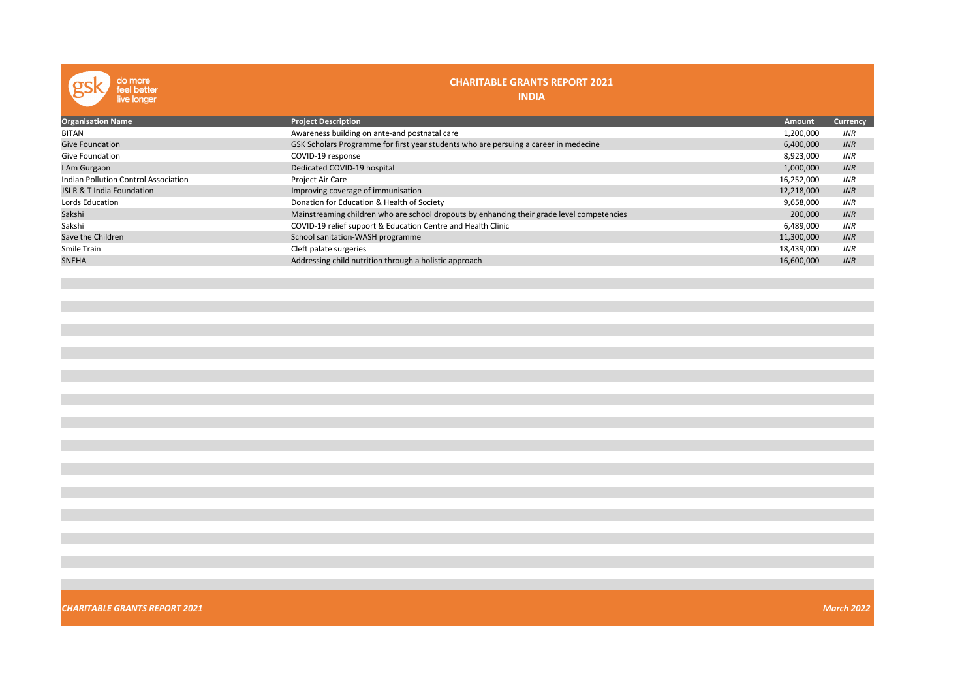| do more<br>feel better<br>live longer | <b>CHARITABLE GRANTS REPORT 2021</b><br><b>INDIA</b>                                       |            |                 |
|---------------------------------------|--------------------------------------------------------------------------------------------|------------|-----------------|
| <b>Organisation Name</b>              | <b>Project Description</b>                                                                 | Amount     | <b>Currency</b> |
| <b>BITAN</b>                          | Awareness building on ante-and postnatal care                                              | 1,200,000  | <b>INR</b>      |
| <b>Give Foundation</b>                | GSK Scholars Programme for first year students who are persuing a career in medecine       | 6,400,000  | INR             |
| <b>Give Foundation</b>                | COVID-19 response                                                                          | 8,923,000  | <b>INR</b>      |
| I Am Gurgaon                          | Dedicated COVID-19 hospital                                                                | 1,000,000  | INR             |
| Indian Pollution Control Association  | Project Air Care                                                                           | 16,252,000 | <b>INR</b>      |
| JSI R & T India Foundation            | Improving coverage of immunisation                                                         | 12,218,000 | <b>INR</b>      |
| Lords Education                       | Donation for Education & Health of Society                                                 | 9,658,000  | <b>INR</b>      |
| Sakshi                                | Mainstreaming children who are school dropouts by enhancing their grade level competencies | 200,000    | INR             |
| Sakshi                                | COVID-19 relief support & Education Centre and Health Clinic                               | 6,489,000  | <b>INR</b>      |
| Save the Children                     | School sanitation-WASH programme                                                           | 11,300,000 | <b>INR</b>      |
| Smile Train                           | Cleft palate surgeries                                                                     | 18,439,000 | <b>INR</b>      |
| <b>SNEHA</b>                          | Addressing child nutrition through a holistic approach                                     | 16,600,000 | INR             |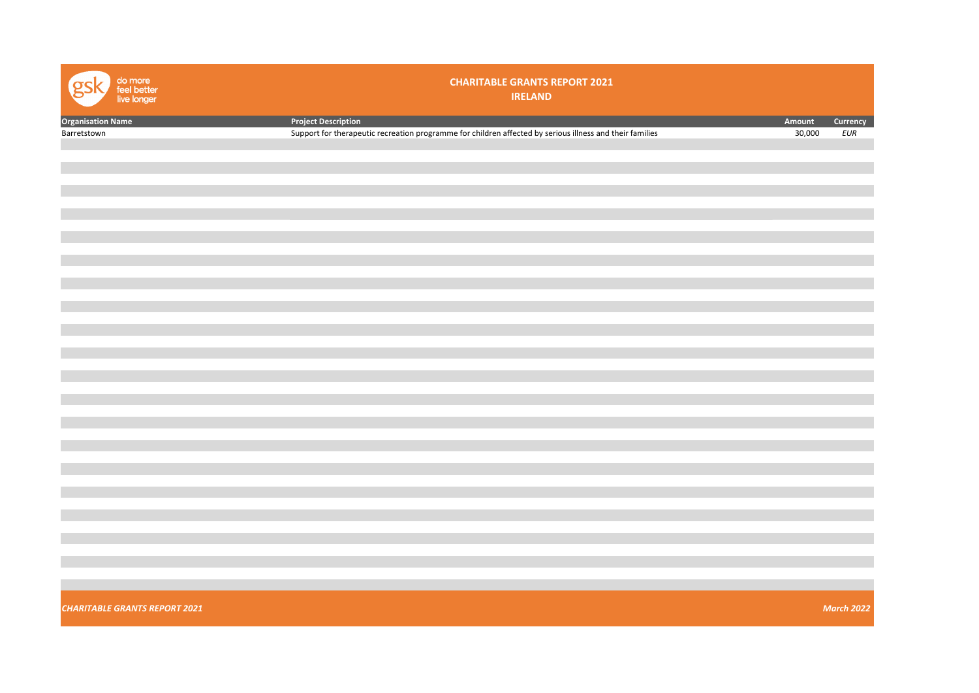| do more<br>feel better<br>live longer | <b>CHARITABLE GRANTS REPORT 2021</b><br><b>IRELAND</b>                                                   |        |                   |
|---------------------------------------|----------------------------------------------------------------------------------------------------------|--------|-------------------|
| <b>Organisation Name</b>              | <b>Project Description</b>                                                                               | Amount | Currency          |
| Barretstown                           | Support for therapeutic recreation programme for children affected by serious illness and their families | 30,000 | EUR               |
|                                       |                                                                                                          |        |                   |
|                                       |                                                                                                          |        |                   |
|                                       |                                                                                                          |        |                   |
|                                       |                                                                                                          |        |                   |
|                                       |                                                                                                          |        |                   |
|                                       |                                                                                                          |        |                   |
|                                       |                                                                                                          |        |                   |
|                                       |                                                                                                          |        |                   |
|                                       |                                                                                                          |        |                   |
|                                       |                                                                                                          |        |                   |
|                                       |                                                                                                          |        |                   |
|                                       |                                                                                                          |        |                   |
|                                       |                                                                                                          |        |                   |
|                                       |                                                                                                          |        |                   |
|                                       |                                                                                                          |        |                   |
|                                       |                                                                                                          |        |                   |
|                                       |                                                                                                          |        |                   |
|                                       |                                                                                                          |        |                   |
|                                       |                                                                                                          |        |                   |
|                                       |                                                                                                          |        |                   |
|                                       |                                                                                                          |        |                   |
|                                       |                                                                                                          |        |                   |
|                                       |                                                                                                          |        |                   |
|                                       |                                                                                                          |        |                   |
|                                       |                                                                                                          |        |                   |
|                                       |                                                                                                          |        |                   |
|                                       |                                                                                                          |        |                   |
|                                       |                                                                                                          |        |                   |
|                                       |                                                                                                          |        |                   |
|                                       |                                                                                                          |        |                   |
|                                       |                                                                                                          |        |                   |
| <b>CHARITABLE GRANTS REPORT 2021</b>  |                                                                                                          |        | <b>March 2022</b> |
|                                       |                                                                                                          |        |                   |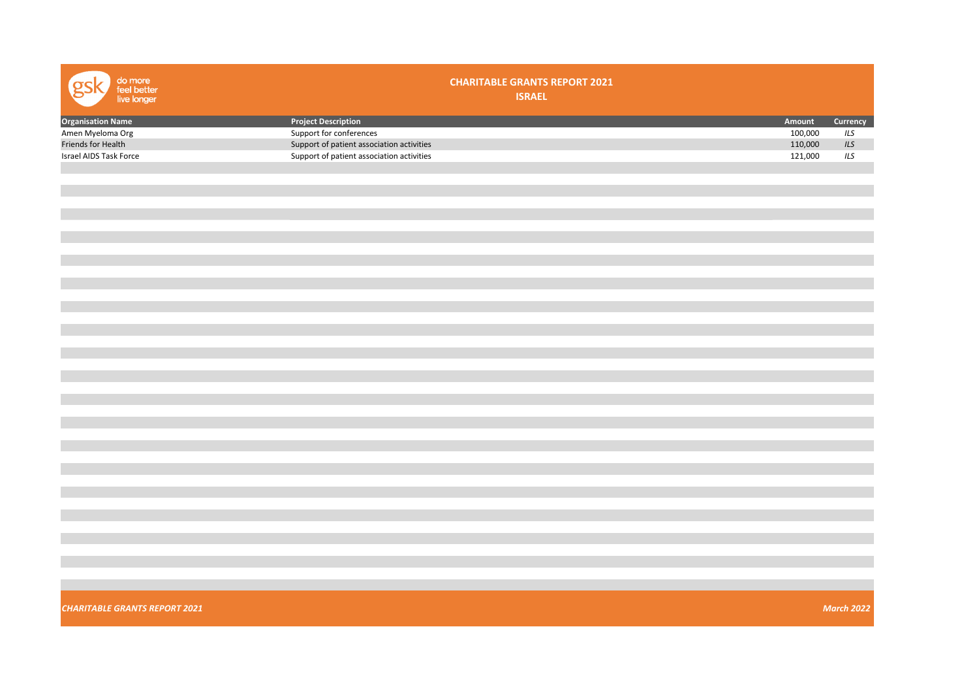| <b>Organisation Name</b><br><b>Project Description</b><br>Amount<br>Currency<br>Amen Myeloma Org<br>Support for conferences<br>100,000<br>ILS<br>110,000<br>ILS<br>Friends for Health<br>Support of patient association activities<br>Israel AIDS Task Force<br>Support of patient association activities<br>121,000<br>ILS | do more<br>feel better<br>live longer | <b>CHARITABLE GRANTS REPORT 2021</b><br><b>ISRAEL</b> |                   |
|-----------------------------------------------------------------------------------------------------------------------------------------------------------------------------------------------------------------------------------------------------------------------------------------------------------------------------|---------------------------------------|-------------------------------------------------------|-------------------|
|                                                                                                                                                                                                                                                                                                                             |                                       |                                                       |                   |
|                                                                                                                                                                                                                                                                                                                             |                                       |                                                       |                   |
|                                                                                                                                                                                                                                                                                                                             |                                       |                                                       |                   |
|                                                                                                                                                                                                                                                                                                                             |                                       |                                                       |                   |
|                                                                                                                                                                                                                                                                                                                             |                                       |                                                       |                   |
|                                                                                                                                                                                                                                                                                                                             |                                       |                                                       |                   |
|                                                                                                                                                                                                                                                                                                                             |                                       |                                                       |                   |
|                                                                                                                                                                                                                                                                                                                             |                                       |                                                       |                   |
|                                                                                                                                                                                                                                                                                                                             |                                       |                                                       |                   |
|                                                                                                                                                                                                                                                                                                                             |                                       |                                                       |                   |
|                                                                                                                                                                                                                                                                                                                             |                                       |                                                       |                   |
|                                                                                                                                                                                                                                                                                                                             |                                       |                                                       |                   |
|                                                                                                                                                                                                                                                                                                                             |                                       |                                                       |                   |
|                                                                                                                                                                                                                                                                                                                             |                                       |                                                       |                   |
|                                                                                                                                                                                                                                                                                                                             |                                       |                                                       |                   |
|                                                                                                                                                                                                                                                                                                                             |                                       |                                                       |                   |
|                                                                                                                                                                                                                                                                                                                             |                                       |                                                       |                   |
|                                                                                                                                                                                                                                                                                                                             |                                       |                                                       |                   |
|                                                                                                                                                                                                                                                                                                                             |                                       |                                                       |                   |
|                                                                                                                                                                                                                                                                                                                             |                                       |                                                       |                   |
|                                                                                                                                                                                                                                                                                                                             |                                       |                                                       |                   |
|                                                                                                                                                                                                                                                                                                                             |                                       |                                                       |                   |
|                                                                                                                                                                                                                                                                                                                             |                                       |                                                       |                   |
|                                                                                                                                                                                                                                                                                                                             |                                       |                                                       |                   |
|                                                                                                                                                                                                                                                                                                                             |                                       |                                                       |                   |
|                                                                                                                                                                                                                                                                                                                             |                                       |                                                       |                   |
|                                                                                                                                                                                                                                                                                                                             |                                       |                                                       |                   |
|                                                                                                                                                                                                                                                                                                                             |                                       |                                                       |                   |
|                                                                                                                                                                                                                                                                                                                             |                                       |                                                       |                   |
|                                                                                                                                                                                                                                                                                                                             |                                       |                                                       |                   |
|                                                                                                                                                                                                                                                                                                                             |                                       |                                                       |                   |
|                                                                                                                                                                                                                                                                                                                             |                                       |                                                       |                   |
|                                                                                                                                                                                                                                                                                                                             |                                       |                                                       |                   |
|                                                                                                                                                                                                                                                                                                                             |                                       |                                                       |                   |
|                                                                                                                                                                                                                                                                                                                             |                                       |                                                       |                   |
|                                                                                                                                                                                                                                                                                                                             |                                       |                                                       |                   |
|                                                                                                                                                                                                                                                                                                                             |                                       |                                                       |                   |
|                                                                                                                                                                                                                                                                                                                             |                                       |                                                       |                   |
|                                                                                                                                                                                                                                                                                                                             | <b>CHARITABLE GRANTS REPORT 2021</b>  |                                                       | <b>March 2022</b> |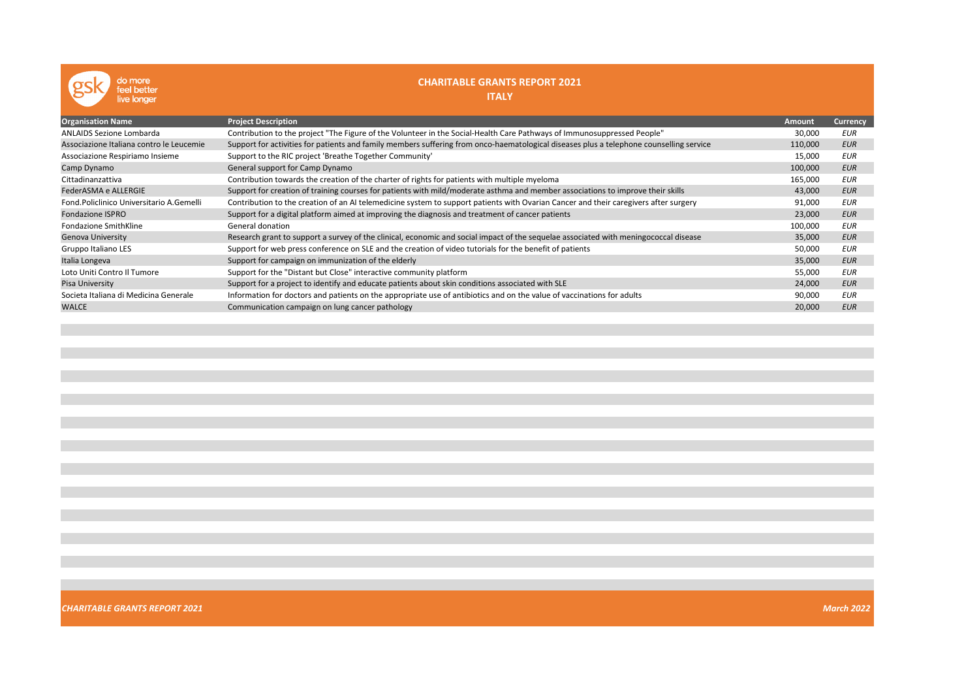| do more<br>eel better<br>live longer     | <b>CHARITABLE GRANTS REPORT 2021</b><br><b>ITALY</b>                                                                                    |               |            |
|------------------------------------------|-----------------------------------------------------------------------------------------------------------------------------------------|---------------|------------|
| <b>Organisation Name</b>                 | <b>Project Description</b>                                                                                                              | <b>Amount</b> | Currency   |
| <b>ANLAIDS Sezione Lombarda</b>          | Contribution to the project "The Figure of the Volunteer in the Social-Health Care Pathways of Immunosuppressed People"                 | 30,000        | EUR        |
| Associazione Italiana contro le Leucemie | Support for activities for patients and family members suffering from onco-haematological diseases plus a telephone counselling service | 110,000       | <b>EUR</b> |
| Associazione Respiriamo Insieme          | Support to the RIC project 'Breathe Together Community'                                                                                 | 15,000        | <b>EUR</b> |
| Camp Dynamo                              | General support for Camp Dynamo                                                                                                         | 100,000       | <b>EUR</b> |
| Cittadinanzattiva                        | Contribution towards the creation of the charter of rights for patients with multiple myeloma                                           | 165,000       | <b>EUR</b> |
| FederASMA e ALLERGIE                     | Support for creation of training courses for patients with mild/moderate asthma and member associations to improve their skills         | 43,000        | <b>EUR</b> |
| Fond Policlinico Universitario A Gemelli | Contribution to the creation of an AI telemedicine system to support patients with Ovarian Cancer and their caregivers after surgery    | 91,000        | <b>EUR</b> |
| <b>Fondazione ISPRO</b>                  | Support for a digital platform aimed at improving the diagnosis and treatment of cancer patients                                        | 23,000        | <b>EUR</b> |
| Fondazione SmithKline                    | General donation                                                                                                                        | 100,000       | <b>EUR</b> |
| <b>Genova University</b>                 | Research grant to support a survey of the clinical, economic and social impact of the sequelae associated with meningococcal disease    | 35,000        | <b>EUR</b> |
| Gruppo Italiano LES                      | Support for web press conference on SLE and the creation of video tutorials for the benefit of patients                                 | 50,000        | EUR        |
| Italia Longeva                           | Support for campaign on immunization of the elderly                                                                                     | 35,000        | <b>EUR</b> |
| Loto Uniti Contro Il Tumore              | Support for the "Distant but Close" interactive community platform                                                                      | 55,000        | <b>EUR</b> |
| Pisa University                          | Support for a project to identify and educate patients about skin conditions associated with SLE                                        | 24,000        | <b>EUR</b> |
| Societa Italiana di Medicina Generale    | Information for doctors and patients on the appropriate use of antibiotics and on the value of vaccinations for adults                  | 90,000        | <b>EUR</b> |
| <b>WALCE</b>                             | Communication campaign on lung cancer pathology                                                                                         | 20,000        | <b>EUR</b> |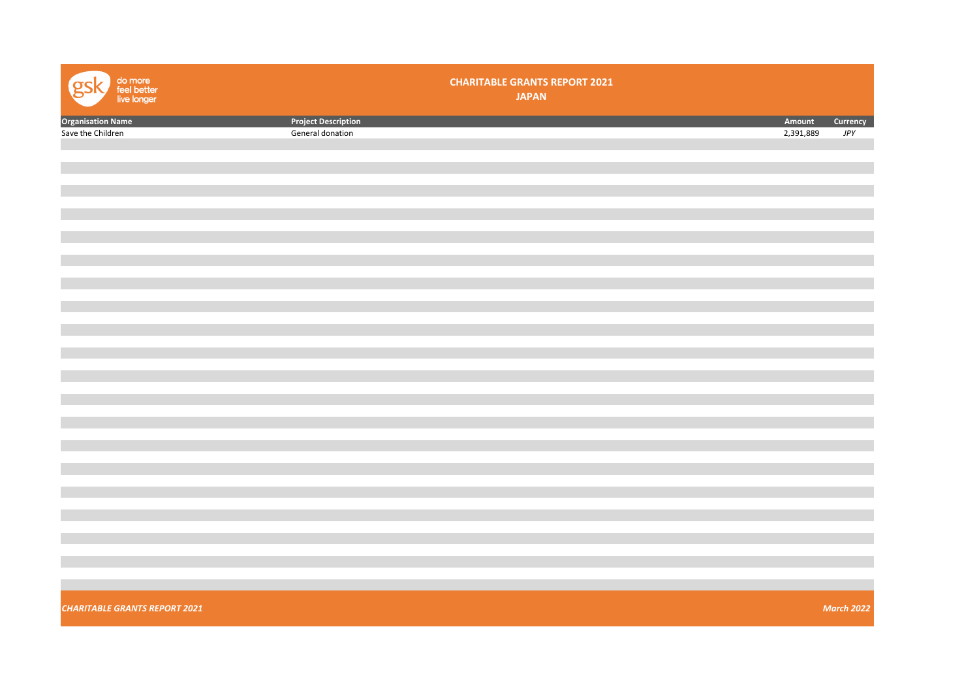| <b>Project Description</b><br><b>Organisation Name</b><br>Save the Children<br>Amount<br>2,391,889<br>$J\!P Y$<br>General donation | do more<br>feel better<br>live longer<br>Q | <b>CHARITABLE GRANTS REPORT 2021</b><br><b>JAPAN</b> |                   |
|------------------------------------------------------------------------------------------------------------------------------------|--------------------------------------------|------------------------------------------------------|-------------------|
|                                                                                                                                    |                                            |                                                      | Currency          |
|                                                                                                                                    |                                            |                                                      |                   |
|                                                                                                                                    |                                            |                                                      |                   |
|                                                                                                                                    |                                            |                                                      |                   |
|                                                                                                                                    |                                            |                                                      |                   |
|                                                                                                                                    |                                            |                                                      |                   |
|                                                                                                                                    |                                            |                                                      |                   |
|                                                                                                                                    |                                            |                                                      |                   |
|                                                                                                                                    |                                            |                                                      |                   |
|                                                                                                                                    |                                            |                                                      |                   |
|                                                                                                                                    |                                            |                                                      |                   |
|                                                                                                                                    |                                            |                                                      |                   |
|                                                                                                                                    |                                            |                                                      |                   |
|                                                                                                                                    |                                            |                                                      |                   |
|                                                                                                                                    |                                            |                                                      |                   |
|                                                                                                                                    |                                            |                                                      |                   |
|                                                                                                                                    |                                            |                                                      |                   |
|                                                                                                                                    |                                            |                                                      |                   |
|                                                                                                                                    |                                            |                                                      |                   |
|                                                                                                                                    |                                            |                                                      |                   |
|                                                                                                                                    |                                            |                                                      |                   |
|                                                                                                                                    |                                            |                                                      |                   |
|                                                                                                                                    |                                            |                                                      |                   |
|                                                                                                                                    |                                            |                                                      |                   |
|                                                                                                                                    |                                            |                                                      |                   |
|                                                                                                                                    |                                            |                                                      |                   |
|                                                                                                                                    |                                            |                                                      |                   |
|                                                                                                                                    |                                            |                                                      |                   |
|                                                                                                                                    |                                            |                                                      |                   |
|                                                                                                                                    |                                            |                                                      |                   |
|                                                                                                                                    | <b>CHARITABLE GRANTS REPORT 2021</b>       |                                                      | <b>March 2022</b> |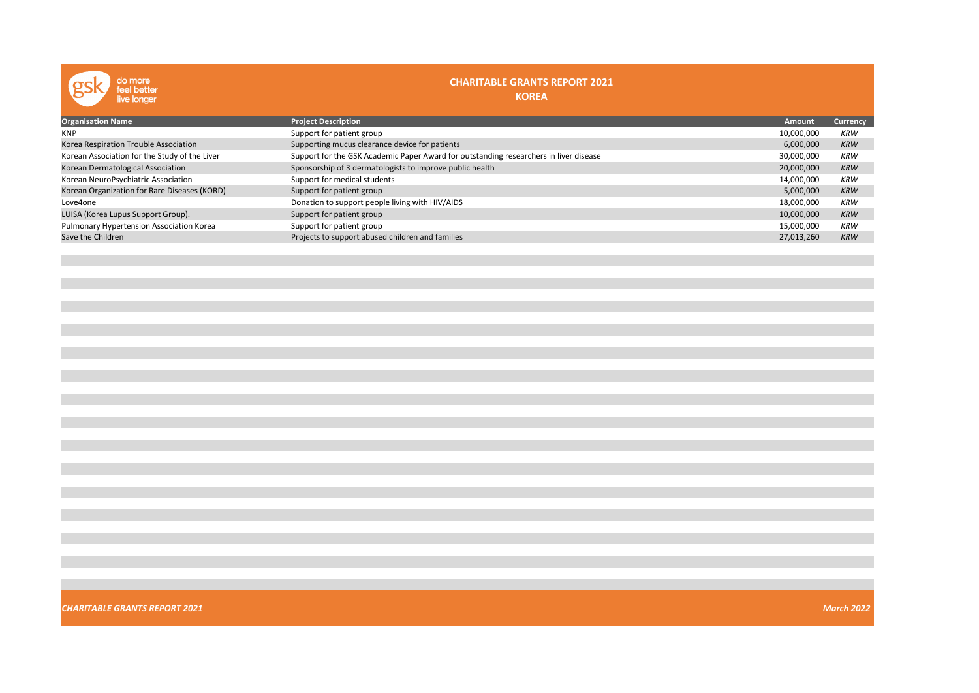| do more<br>feel better<br>live longer         | <b>CHARITABLE GRANTS REPORT 2021</b><br><b>KOREA</b>                                  |            |                 |
|-----------------------------------------------|---------------------------------------------------------------------------------------|------------|-----------------|
| <b>Organisation Name</b>                      | <b>Project Description</b>                                                            | Amount     | <b>Currency</b> |
| KNP                                           | Support for patient group                                                             | 10,000,000 | <b>KRW</b>      |
| Korea Respiration Trouble Association         | Supporting mucus clearance device for patients                                        | 6,000,000  | <b>KRW</b>      |
| Korean Association for the Study of the Liver | Support for the GSK Academic Paper Award for outstanding researchers in liver disease | 30,000,000 | <b>KRW</b>      |
| Korean Dermatological Association             | Sponsorship of 3 dermatologists to improve public health                              | 20,000,000 | <b>KRW</b>      |
| Korean NeuroPsychiatric Association           | Support for medical students                                                          | 14,000,000 | <b>KRW</b>      |
| Korean Organization for Rare Diseases (KORD)  | Support for patient group                                                             | 5,000,000  | <b>KRW</b>      |
| Love4one                                      | Donation to support people living with HIV/AIDS                                       | 18,000,000 | <b>KRW</b>      |
| LUISA (Korea Lupus Support Group).            | Support for patient group                                                             | 10,000,000 | <b>KRW</b>      |
| Pulmonary Hypertension Association Korea      | Support for patient group                                                             | 15,000,000 | <b>KRW</b>      |
| Save the Children                             | Projects to support abused children and families                                      | 27,013,260 | <b>KRW</b>      |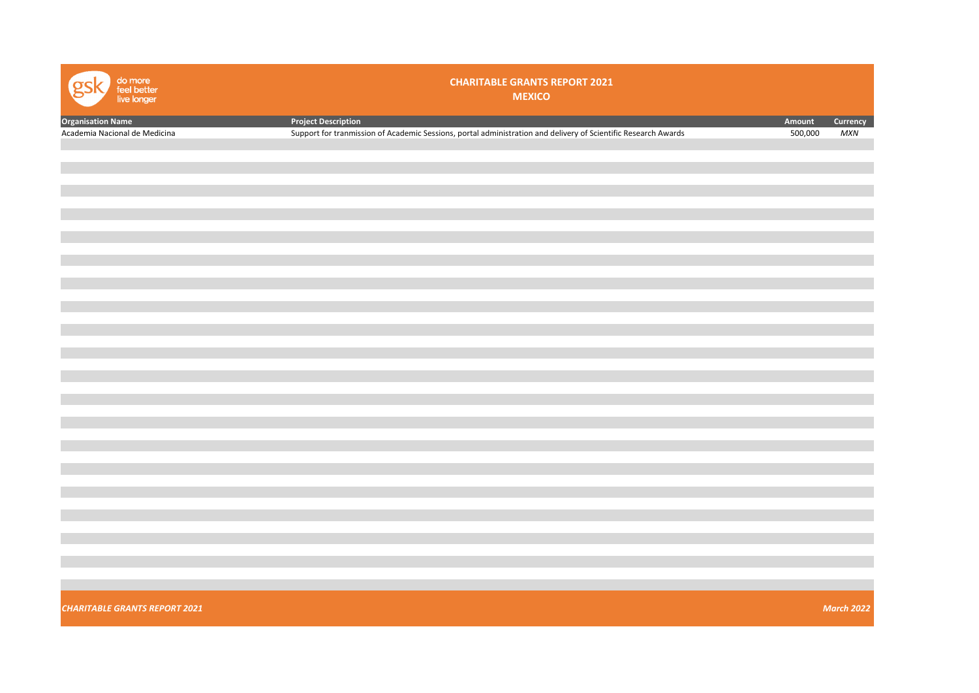| do more<br>feel better<br>live longer | <b>CHARITABLE GRANTS REPORT 2021</b><br><b>MEXICO</b>                                                          |         |                   |
|---------------------------------------|----------------------------------------------------------------------------------------------------------------|---------|-------------------|
| <b>Organisation Name</b>              | <b>Project Description</b>                                                                                     | Amount  | Currency          |
| Academia Nacional de Medicina         | Support for tranmission of Academic Sessions, portal administration and delivery of Scientific Research Awards | 500,000 | <b>MXN</b>        |
|                                       |                                                                                                                |         |                   |
|                                       |                                                                                                                |         |                   |
|                                       |                                                                                                                |         |                   |
|                                       |                                                                                                                |         |                   |
|                                       |                                                                                                                |         |                   |
|                                       |                                                                                                                |         |                   |
|                                       |                                                                                                                |         |                   |
|                                       |                                                                                                                |         |                   |
|                                       |                                                                                                                |         |                   |
|                                       |                                                                                                                |         |                   |
|                                       |                                                                                                                |         |                   |
|                                       |                                                                                                                |         |                   |
|                                       |                                                                                                                |         |                   |
|                                       |                                                                                                                |         |                   |
|                                       |                                                                                                                |         |                   |
|                                       |                                                                                                                |         |                   |
|                                       |                                                                                                                |         |                   |
|                                       |                                                                                                                |         |                   |
|                                       |                                                                                                                |         |                   |
|                                       |                                                                                                                |         |                   |
|                                       |                                                                                                                |         |                   |
|                                       |                                                                                                                |         |                   |
|                                       |                                                                                                                |         |                   |
|                                       |                                                                                                                |         |                   |
|                                       |                                                                                                                |         |                   |
|                                       |                                                                                                                |         |                   |
|                                       |                                                                                                                |         |                   |
| <b>CHARITABLE GRANTS REPORT 2021</b>  |                                                                                                                |         | <b>March 2022</b> |
|                                       |                                                                                                                |         |                   |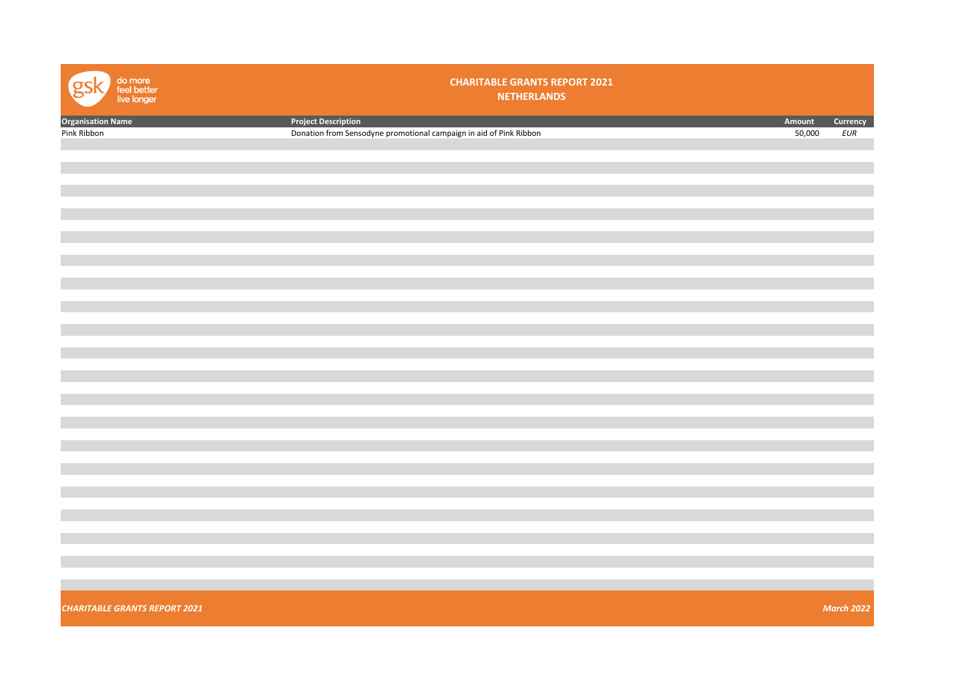| do more<br>feel better<br>live longer | <b>CHARITABLE GRANTS REPORT 2021</b><br><b>NETHERLANDS</b>         |        |                   |
|---------------------------------------|--------------------------------------------------------------------|--------|-------------------|
| <b>Organisation Name</b>              | <b>Project Description</b>                                         | Amount | Currency          |
| Pink Ribbon                           | Donation from Sensodyne promotional campaign in aid of Pink Ribbon | 50,000 | EUR               |
|                                       |                                                                    |        |                   |
|                                       |                                                                    |        |                   |
|                                       |                                                                    |        |                   |
|                                       |                                                                    |        |                   |
|                                       |                                                                    |        |                   |
|                                       |                                                                    |        |                   |
|                                       |                                                                    |        |                   |
|                                       |                                                                    |        |                   |
|                                       |                                                                    |        |                   |
|                                       |                                                                    |        |                   |
|                                       |                                                                    |        |                   |
|                                       |                                                                    |        |                   |
|                                       |                                                                    |        |                   |
|                                       |                                                                    |        |                   |
|                                       |                                                                    |        |                   |
|                                       |                                                                    |        |                   |
|                                       |                                                                    |        |                   |
|                                       |                                                                    |        |                   |
|                                       |                                                                    |        |                   |
|                                       |                                                                    |        |                   |
|                                       |                                                                    |        |                   |
|                                       |                                                                    |        |                   |
|                                       |                                                                    |        |                   |
|                                       |                                                                    |        |                   |
|                                       |                                                                    |        |                   |
|                                       |                                                                    |        |                   |
|                                       |                                                                    |        |                   |
|                                       |                                                                    |        |                   |
|                                       |                                                                    |        |                   |
|                                       |                                                                    |        |                   |
|                                       |                                                                    |        |                   |
|                                       |                                                                    |        |                   |
|                                       |                                                                    |        |                   |
| <b>CHARITABLE GRANTS REPORT 2021</b>  |                                                                    |        | <b>March 2022</b> |
|                                       |                                                                    |        |                   |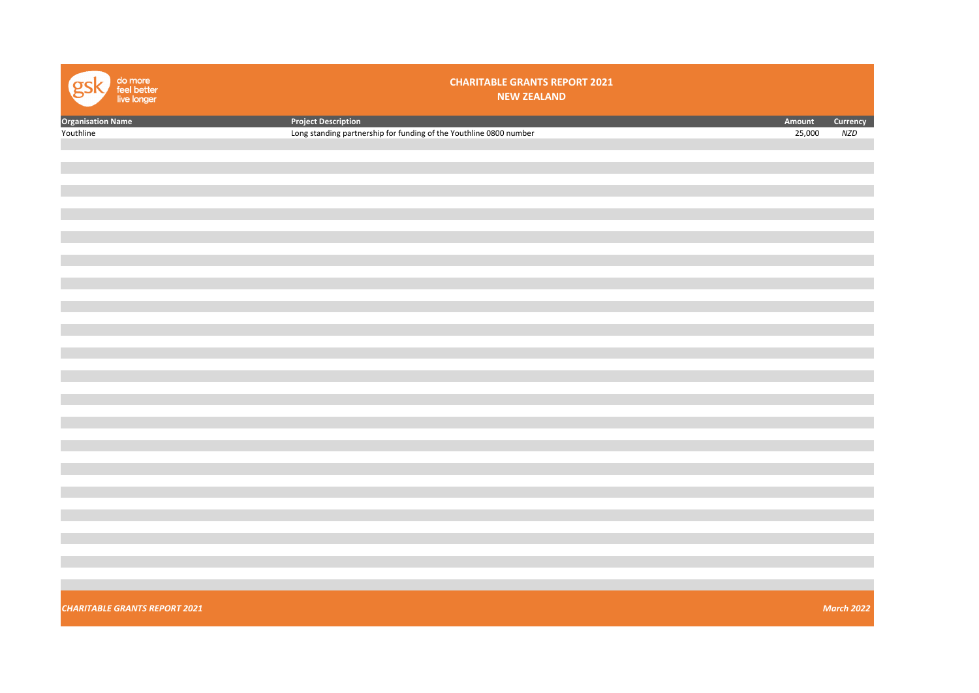| do more<br>feel better<br>live longer | <b>CHARITABLE GRANTS REPORT 2021</b><br><b>NEW ZEALAND</b>         |        |                   |
|---------------------------------------|--------------------------------------------------------------------|--------|-------------------|
| <b>Organisation Name</b>              | <b>Project Description</b>                                         | Amount | Currency          |
| Youthline                             | Long standing partnership for funding of the Youthline 0800 number | 25,000 | <b>NZD</b>        |
|                                       |                                                                    |        |                   |
|                                       |                                                                    |        |                   |
|                                       |                                                                    |        |                   |
|                                       |                                                                    |        |                   |
|                                       |                                                                    |        |                   |
|                                       |                                                                    |        |                   |
|                                       |                                                                    |        |                   |
|                                       |                                                                    |        |                   |
|                                       |                                                                    |        |                   |
|                                       |                                                                    |        |                   |
|                                       |                                                                    |        |                   |
|                                       |                                                                    |        |                   |
|                                       |                                                                    |        |                   |
|                                       |                                                                    |        |                   |
|                                       |                                                                    |        |                   |
|                                       |                                                                    |        |                   |
|                                       |                                                                    |        |                   |
|                                       |                                                                    |        |                   |
|                                       |                                                                    |        |                   |
|                                       |                                                                    |        |                   |
|                                       |                                                                    |        |                   |
|                                       |                                                                    |        |                   |
|                                       |                                                                    |        |                   |
|                                       |                                                                    |        |                   |
|                                       |                                                                    |        |                   |
|                                       |                                                                    |        |                   |
|                                       |                                                                    |        |                   |
|                                       |                                                                    |        |                   |
|                                       |                                                                    |        |                   |
|                                       |                                                                    |        |                   |
|                                       |                                                                    |        |                   |
|                                       |                                                                    |        |                   |
| <b>CHARITABLE GRANTS REPORT 2021</b>  |                                                                    |        | <b>March 2022</b> |
|                                       |                                                                    |        |                   |
|                                       |                                                                    |        |                   |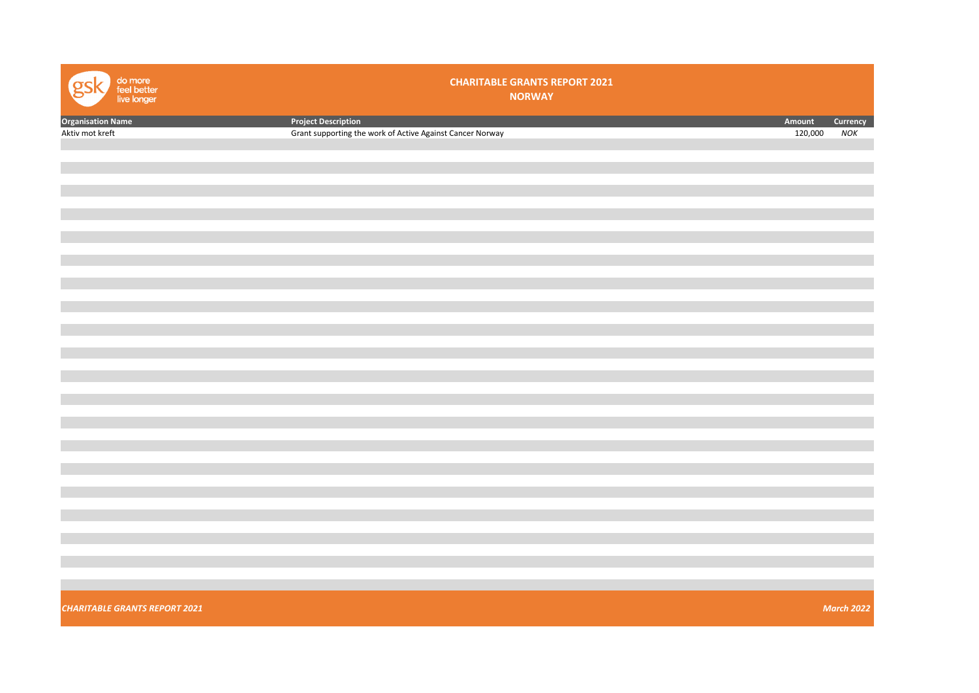| do more<br>feel better<br>live longer | <b>CHARITABLE GRANTS REPORT 2021</b><br><b>NORWAY</b>     |         |                   |
|---------------------------------------|-----------------------------------------------------------|---------|-------------------|
| <b>Organisation Name</b>              | <b>Project Description</b>                                | Amount  | Currency          |
| Aktiv mot kreft                       | Grant supporting the work of Active Against Cancer Norway | 120,000 | NOK               |
|                                       |                                                           |         |                   |
|                                       |                                                           |         |                   |
|                                       |                                                           |         |                   |
|                                       |                                                           |         |                   |
|                                       |                                                           |         |                   |
|                                       |                                                           |         |                   |
|                                       |                                                           |         |                   |
|                                       |                                                           |         |                   |
|                                       |                                                           |         |                   |
|                                       |                                                           |         |                   |
|                                       |                                                           |         |                   |
|                                       |                                                           |         |                   |
|                                       |                                                           |         |                   |
|                                       |                                                           |         |                   |
|                                       |                                                           |         |                   |
|                                       |                                                           |         |                   |
|                                       |                                                           |         |                   |
|                                       |                                                           |         |                   |
|                                       |                                                           |         |                   |
|                                       |                                                           |         |                   |
|                                       |                                                           |         |                   |
|                                       |                                                           |         |                   |
|                                       |                                                           |         |                   |
|                                       |                                                           |         |                   |
|                                       |                                                           |         |                   |
|                                       |                                                           |         |                   |
|                                       |                                                           |         |                   |
|                                       |                                                           |         |                   |
|                                       |                                                           |         |                   |
|                                       |                                                           |         |                   |
|                                       |                                                           |         |                   |
|                                       |                                                           |         |                   |
|                                       |                                                           |         |                   |
|                                       |                                                           |         |                   |
|                                       |                                                           |         |                   |
|                                       |                                                           |         |                   |
|                                       |                                                           |         |                   |
|                                       |                                                           |         |                   |
| <b>CHARITABLE GRANTS REPORT 2021</b>  |                                                           |         | <b>March 2022</b> |
|                                       |                                                           |         |                   |
|                                       |                                                           |         |                   |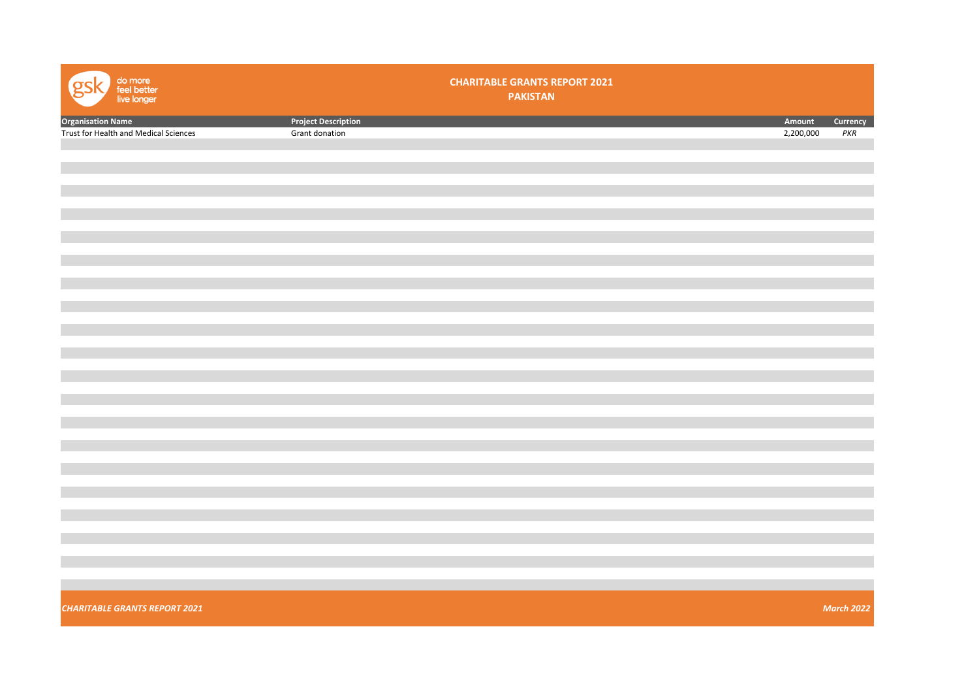| do more<br>feel better<br>live longer<br>Զ |                            | <b>CHARITABLE GRANTS REPORT 2021</b><br><b>PAKISTAN</b> |           |                   |
|--------------------------------------------|----------------------------|---------------------------------------------------------|-----------|-------------------|
| <b>Organisation Name</b>                   | <b>Project Description</b> |                                                         | Amount    | Currency          |
| Trust for Health and Medical Sciences      | Grant donation             |                                                         | 2,200,000 | PKR               |
|                                            |                            |                                                         |           |                   |
|                                            |                            |                                                         |           |                   |
|                                            |                            |                                                         |           |                   |
|                                            |                            |                                                         |           |                   |
|                                            |                            |                                                         |           |                   |
|                                            |                            |                                                         |           |                   |
|                                            |                            |                                                         |           |                   |
|                                            |                            |                                                         |           |                   |
|                                            |                            |                                                         |           |                   |
|                                            |                            |                                                         |           |                   |
|                                            |                            |                                                         |           |                   |
|                                            |                            |                                                         |           |                   |
|                                            |                            |                                                         |           |                   |
|                                            |                            |                                                         |           |                   |
|                                            |                            |                                                         |           |                   |
|                                            |                            |                                                         |           |                   |
|                                            |                            |                                                         |           |                   |
|                                            |                            |                                                         |           |                   |
|                                            |                            |                                                         |           |                   |
|                                            |                            |                                                         |           |                   |
|                                            |                            |                                                         |           |                   |
|                                            |                            |                                                         |           |                   |
|                                            |                            |                                                         |           |                   |
|                                            |                            |                                                         |           |                   |
|                                            |                            |                                                         |           |                   |
|                                            |                            |                                                         |           |                   |
|                                            |                            |                                                         |           |                   |
| <b>CHARITABLE GRANTS REPORT 2021</b>       |                            |                                                         |           | <b>March 2022</b> |
|                                            |                            |                                                         |           |                   |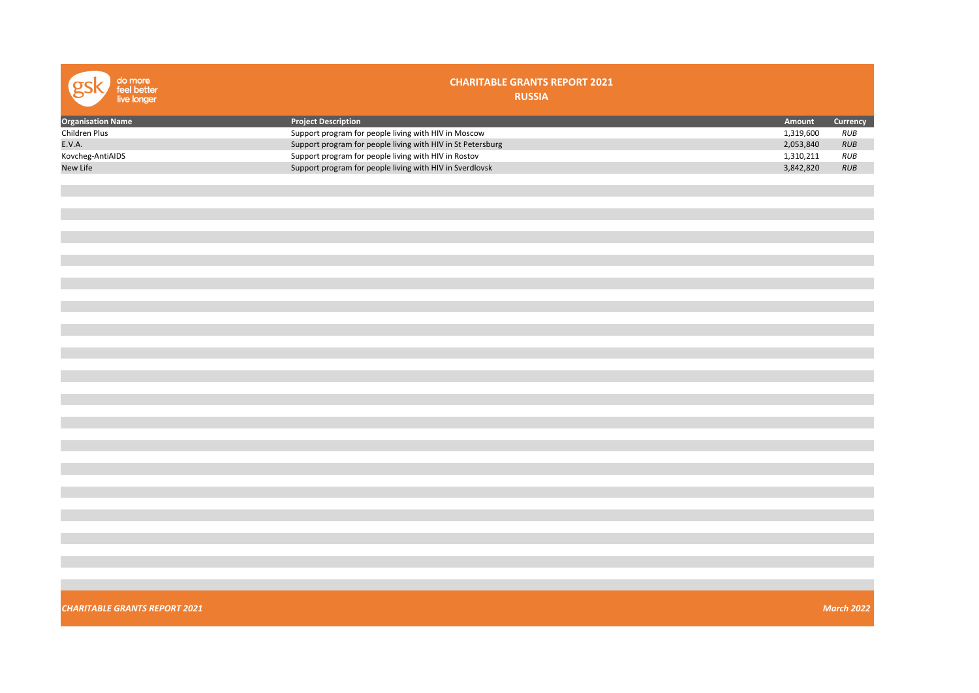| do more<br>feel better<br>live longer | <b>CHARITABLE GRANTS REPORT 2021</b><br><b>RUSSIA</b>       |           |                   |
|---------------------------------------|-------------------------------------------------------------|-----------|-------------------|
| <b>Organisation Name</b>              | <b>Project Description</b>                                  | Amount    | Currency          |
| Children Plus                         | Support program for people living with HIV in Moscow        | 1,319,600 | RUB               |
| E.V.A.                                | Support program for people living with HIV in St Petersburg | 2,053,840 | RUB               |
| Kovcheg-AntiAIDS                      | Support program for people living with HIV in Rostov        | 1,310,211 | <b>RUB</b>        |
| New Life                              | Support program for people living with HIV in Sverdlovsk    | 3,842,820 | <b>RUB</b>        |
|                                       |                                                             |           |                   |
|                                       |                                                             |           |                   |
|                                       |                                                             |           |                   |
|                                       |                                                             |           |                   |
|                                       |                                                             |           |                   |
|                                       |                                                             |           |                   |
|                                       |                                                             |           |                   |
|                                       |                                                             |           |                   |
|                                       |                                                             |           |                   |
|                                       |                                                             |           |                   |
|                                       |                                                             |           |                   |
|                                       |                                                             |           |                   |
|                                       |                                                             |           |                   |
|                                       |                                                             |           |                   |
|                                       |                                                             |           |                   |
|                                       |                                                             |           |                   |
|                                       |                                                             |           |                   |
|                                       |                                                             |           |                   |
|                                       |                                                             |           |                   |
|                                       |                                                             |           |                   |
|                                       |                                                             |           |                   |
|                                       |                                                             |           |                   |
|                                       |                                                             |           |                   |
|                                       |                                                             |           |                   |
|                                       |                                                             |           |                   |
|                                       |                                                             |           |                   |
|                                       |                                                             |           |                   |
|                                       |                                                             |           |                   |
|                                       |                                                             |           |                   |
|                                       |                                                             |           |                   |
|                                       |                                                             |           |                   |
|                                       |                                                             |           |                   |
|                                       |                                                             |           |                   |
|                                       |                                                             |           |                   |
|                                       |                                                             |           |                   |
| <b>CHARITABLE GRANTS REPORT 2021</b>  |                                                             |           | <b>March 2022</b> |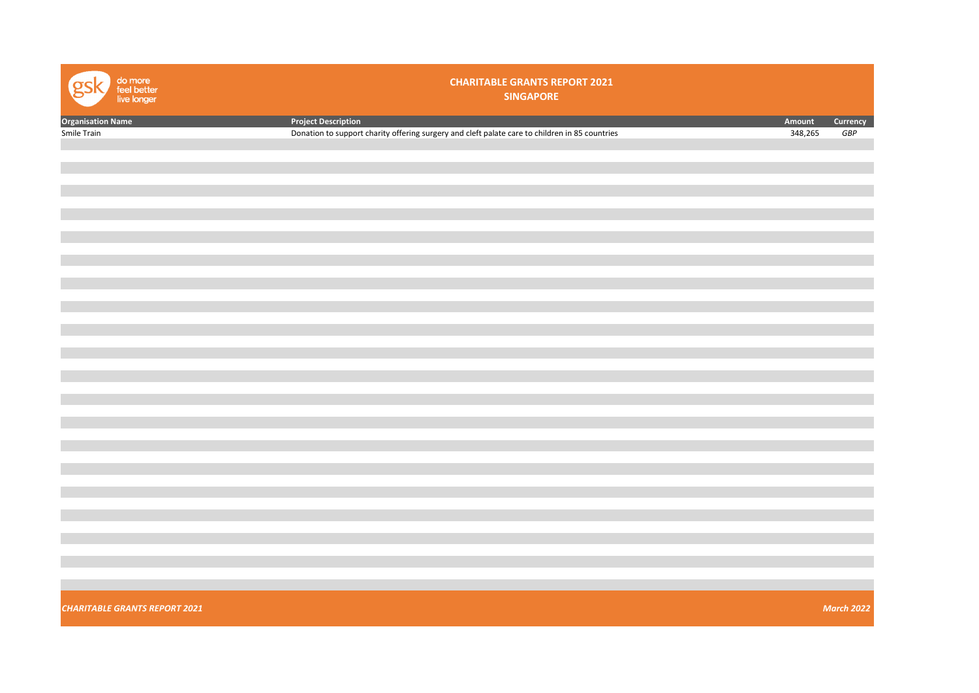| do more<br>feel better<br>live longer | <b>CHARITABLE GRANTS REPORT 2021</b><br><b>SINGAPORE</b>                                       |         |                   |
|---------------------------------------|------------------------------------------------------------------------------------------------|---------|-------------------|
| <b>Organisation Name</b>              | <b>Project Description</b>                                                                     | Amount  | Currency          |
| Smile Train                           | Donation to support charity offering surgery and cleft palate care to children in 85 countries | 348,265 | GBP               |
|                                       |                                                                                                |         |                   |
|                                       |                                                                                                |         |                   |
|                                       |                                                                                                |         |                   |
|                                       |                                                                                                |         |                   |
|                                       |                                                                                                |         |                   |
|                                       |                                                                                                |         |                   |
|                                       |                                                                                                |         |                   |
|                                       |                                                                                                |         |                   |
|                                       |                                                                                                |         |                   |
|                                       |                                                                                                |         |                   |
|                                       |                                                                                                |         |                   |
|                                       |                                                                                                |         |                   |
|                                       |                                                                                                |         |                   |
|                                       |                                                                                                |         |                   |
|                                       |                                                                                                |         |                   |
|                                       |                                                                                                |         |                   |
|                                       |                                                                                                |         |                   |
|                                       |                                                                                                |         |                   |
|                                       |                                                                                                |         |                   |
|                                       |                                                                                                |         |                   |
|                                       |                                                                                                |         |                   |
|                                       |                                                                                                |         |                   |
|                                       |                                                                                                |         |                   |
|                                       |                                                                                                |         |                   |
|                                       |                                                                                                |         |                   |
|                                       |                                                                                                |         |                   |
|                                       |                                                                                                |         |                   |
|                                       |                                                                                                |         |                   |
|                                       |                                                                                                |         |                   |
|                                       |                                                                                                |         |                   |
|                                       |                                                                                                |         |                   |
|                                       |                                                                                                |         |                   |
| <b>CHARITABLE GRANTS REPORT 2021</b>  |                                                                                                |         | <b>March 2022</b> |
|                                       |                                                                                                |         |                   |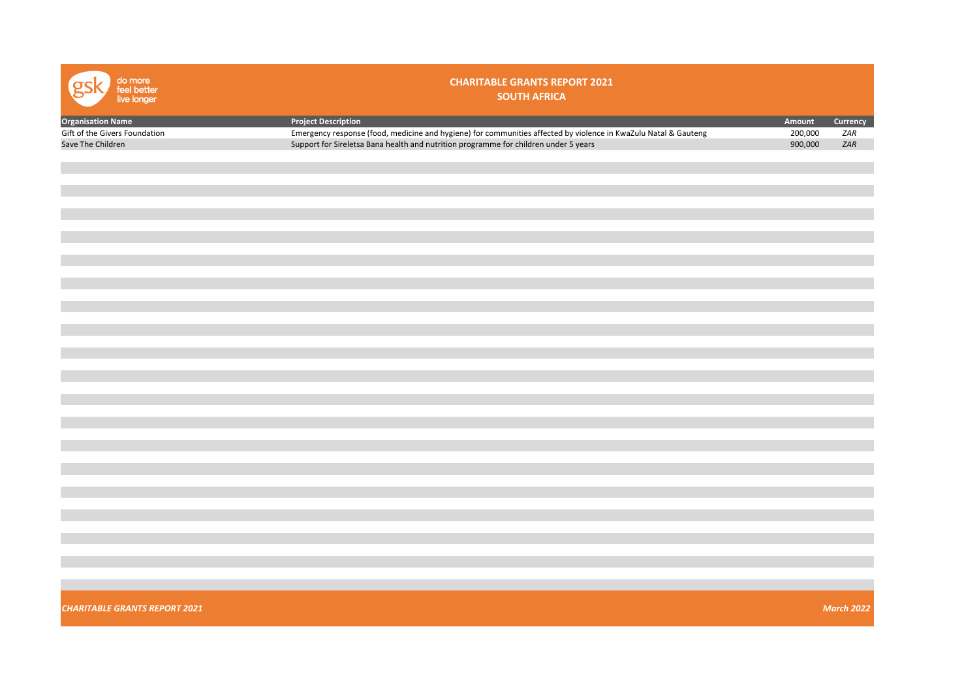| do more<br>feel better<br>live longer | <b>CHARITABLE GRANTS REPORT 2021</b><br><b>SOUTH AFRICA</b>                                                     |         |                   |
|---------------------------------------|-----------------------------------------------------------------------------------------------------------------|---------|-------------------|
| <b>Organisation Name</b>              | <b>Project Description</b>                                                                                      | Amount  | Currency          |
| Gift of the Givers Foundation         | Emergency response (food, medicine and hygiene) for communities affected by violence in KwaZulu Natal & Gauteng | 200,000 | ZAR               |
| Save The Children                     | Support for Sireletsa Bana health and nutrition programme for children under 5 years                            | 900,000 | ZAR               |
|                                       |                                                                                                                 |         |                   |
|                                       |                                                                                                                 |         |                   |
|                                       |                                                                                                                 |         |                   |
|                                       |                                                                                                                 |         |                   |
|                                       |                                                                                                                 |         |                   |
|                                       |                                                                                                                 |         |                   |
|                                       |                                                                                                                 |         |                   |
|                                       |                                                                                                                 |         |                   |
|                                       |                                                                                                                 |         |                   |
|                                       |                                                                                                                 |         |                   |
|                                       |                                                                                                                 |         |                   |
|                                       |                                                                                                                 |         |                   |
|                                       |                                                                                                                 |         |                   |
|                                       |                                                                                                                 |         |                   |
|                                       |                                                                                                                 |         |                   |
|                                       |                                                                                                                 |         |                   |
|                                       |                                                                                                                 |         |                   |
|                                       |                                                                                                                 |         |                   |
|                                       |                                                                                                                 |         |                   |
|                                       |                                                                                                                 |         |                   |
|                                       |                                                                                                                 |         |                   |
|                                       |                                                                                                                 |         |                   |
|                                       |                                                                                                                 |         |                   |
|                                       |                                                                                                                 |         |                   |
|                                       |                                                                                                                 |         |                   |
|                                       |                                                                                                                 |         |                   |
|                                       |                                                                                                                 |         |                   |
|                                       |                                                                                                                 |         |                   |
|                                       |                                                                                                                 |         |                   |
|                                       |                                                                                                                 |         |                   |
|                                       |                                                                                                                 |         |                   |
|                                       |                                                                                                                 |         |                   |
|                                       |                                                                                                                 |         |                   |
|                                       |                                                                                                                 |         |                   |
|                                       |                                                                                                                 |         |                   |
|                                       |                                                                                                                 |         |                   |
|                                       |                                                                                                                 |         |                   |
|                                       |                                                                                                                 |         |                   |
| <b>CHARITABLE GRANTS REPORT 2021</b>  |                                                                                                                 |         | <b>March 2022</b> |
|                                       |                                                                                                                 |         |                   |
|                                       |                                                                                                                 |         |                   |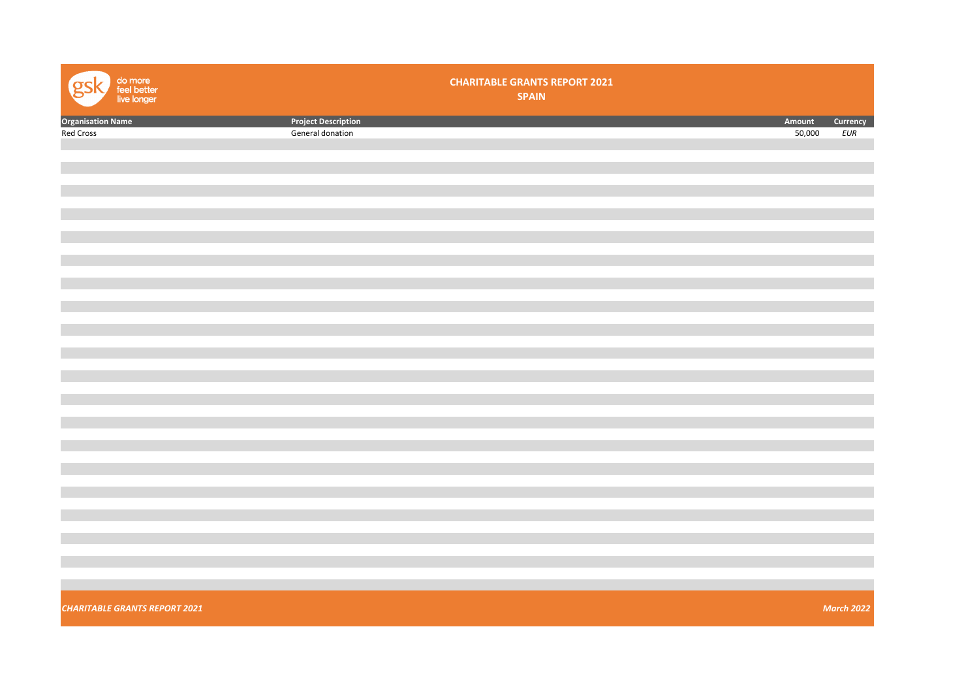| do more<br>feel better<br>live longer<br>O |                            | <b>CHARITABLE GRANTS REPORT 2021</b><br><b>SPAIN</b> |        |                   |
|--------------------------------------------|----------------------------|------------------------------------------------------|--------|-------------------|
| <b>Organisation Name</b><br>Red Cross      | <b>Project Description</b> |                                                      | Amount | Currency          |
|                                            | General donation           |                                                      | 50,000 | EUR               |
|                                            |                            |                                                      |        |                   |
|                                            |                            |                                                      |        |                   |
|                                            |                            |                                                      |        |                   |
|                                            |                            |                                                      |        |                   |
|                                            |                            |                                                      |        |                   |
|                                            |                            |                                                      |        |                   |
|                                            |                            |                                                      |        |                   |
|                                            |                            |                                                      |        |                   |
|                                            |                            |                                                      |        |                   |
|                                            |                            |                                                      |        |                   |
|                                            |                            |                                                      |        |                   |
|                                            |                            |                                                      |        |                   |
|                                            |                            |                                                      |        |                   |
|                                            |                            |                                                      |        |                   |
|                                            |                            |                                                      |        |                   |
|                                            |                            |                                                      |        |                   |
|                                            |                            |                                                      |        |                   |
|                                            |                            |                                                      |        |                   |
|                                            |                            |                                                      |        |                   |
|                                            |                            |                                                      |        |                   |
|                                            |                            |                                                      |        |                   |
|                                            |                            |                                                      |        |                   |
|                                            |                            |                                                      |        |                   |
|                                            |                            |                                                      |        |                   |
| <b>CHARITABLE GRANTS REPORT 2021</b>       |                            |                                                      |        | <b>March 2022</b> |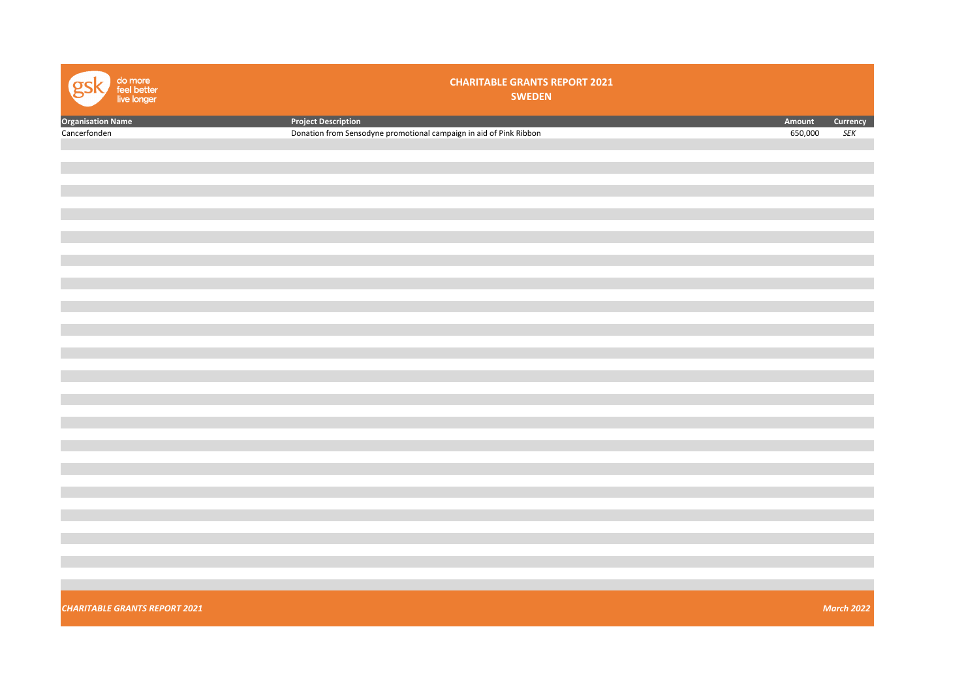| do more<br>feel better<br>live longer | <b>CHARITABLE GRANTS REPORT 2021</b><br><b>SWEDEN</b>              |         |                             |
|---------------------------------------|--------------------------------------------------------------------|---------|-----------------------------|
| Organisation Name                     | <b>Project Description</b>                                         | Amount  | Currency                    |
| Cancerfonden                          | Donation from Sensodyne promotional campaign in aid of Pink Ribbon | 650,000 | $\ensuremath{\mathit{SEK}}$ |
|                                       |                                                                    |         |                             |
|                                       |                                                                    |         |                             |
|                                       |                                                                    |         |                             |
|                                       |                                                                    |         |                             |
|                                       |                                                                    |         |                             |
|                                       |                                                                    |         |                             |
|                                       |                                                                    |         |                             |
|                                       |                                                                    |         |                             |
|                                       |                                                                    |         |                             |
|                                       |                                                                    |         |                             |
|                                       |                                                                    |         |                             |
|                                       |                                                                    |         |                             |
|                                       |                                                                    |         |                             |
|                                       |                                                                    |         |                             |
|                                       |                                                                    |         |                             |
|                                       |                                                                    |         |                             |
|                                       |                                                                    |         |                             |
|                                       |                                                                    |         |                             |
|                                       |                                                                    |         |                             |
|                                       |                                                                    |         |                             |
|                                       |                                                                    |         |                             |
|                                       |                                                                    |         |                             |
|                                       |                                                                    |         |                             |
|                                       |                                                                    |         |                             |
|                                       |                                                                    |         |                             |
|                                       |                                                                    |         |                             |
|                                       |                                                                    |         |                             |
|                                       |                                                                    |         |                             |
|                                       |                                                                    |         |                             |
| <b>CHARITABLE GRANTS REPORT 2021</b>  |                                                                    |         | <b>March 2022</b>           |
|                                       |                                                                    |         |                             |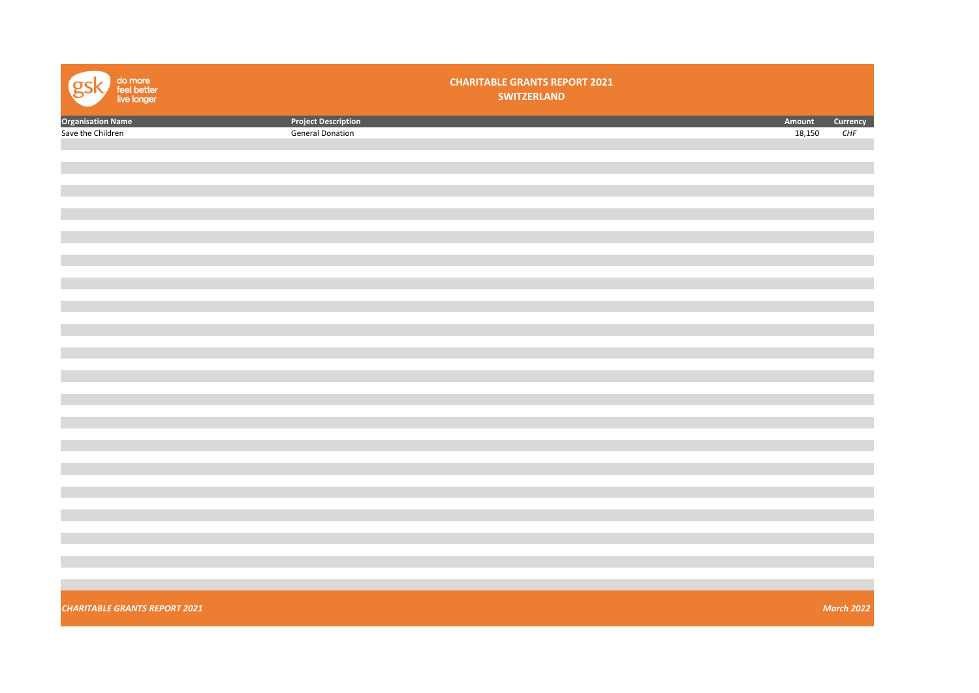| do more<br>feel better<br>live longer<br>gs |                            | <b>CHARITABLE GRANTS REPORT 2021</b><br><b>SWITZERLAND</b> |        |                   |
|---------------------------------------------|----------------------------|------------------------------------------------------------|--------|-------------------|
| <b>Organisation Name</b>                    | <b>Project Description</b> |                                                            | Amount | Currency          |
| Save the Children                           | <b>General Donation</b>    |                                                            | 18,150 | CHF               |
|                                             |                            |                                                            |        |                   |
|                                             |                            |                                                            |        |                   |
|                                             |                            |                                                            |        |                   |
|                                             |                            |                                                            |        |                   |
|                                             |                            |                                                            |        |                   |
|                                             |                            |                                                            |        |                   |
|                                             |                            |                                                            |        |                   |
|                                             |                            |                                                            |        |                   |
|                                             |                            |                                                            |        |                   |
|                                             |                            |                                                            |        |                   |
|                                             |                            |                                                            |        |                   |
|                                             |                            |                                                            |        |                   |
|                                             |                            |                                                            |        |                   |
|                                             |                            |                                                            |        |                   |
|                                             |                            |                                                            |        |                   |
|                                             |                            |                                                            |        |                   |
|                                             |                            |                                                            |        |                   |
|                                             |                            |                                                            |        |                   |
|                                             |                            |                                                            |        |                   |
|                                             |                            |                                                            |        |                   |
|                                             |                            |                                                            |        |                   |
|                                             |                            |                                                            |        |                   |
|                                             |                            |                                                            |        |                   |
|                                             |                            |                                                            |        |                   |
|                                             |                            |                                                            |        |                   |
|                                             |                            |                                                            |        |                   |
|                                             |                            |                                                            |        |                   |
|                                             |                            |                                                            |        |                   |
|                                             |                            |                                                            |        |                   |
|                                             |                            |                                                            |        |                   |
|                                             |                            |                                                            |        |                   |
|                                             |                            |                                                            |        |                   |
|                                             |                            |                                                            |        |                   |
| <b>CHARITABLE GRANTS REPORT 2021</b>        |                            |                                                            |        | <b>March 2022</b> |
|                                             |                            |                                                            |        |                   |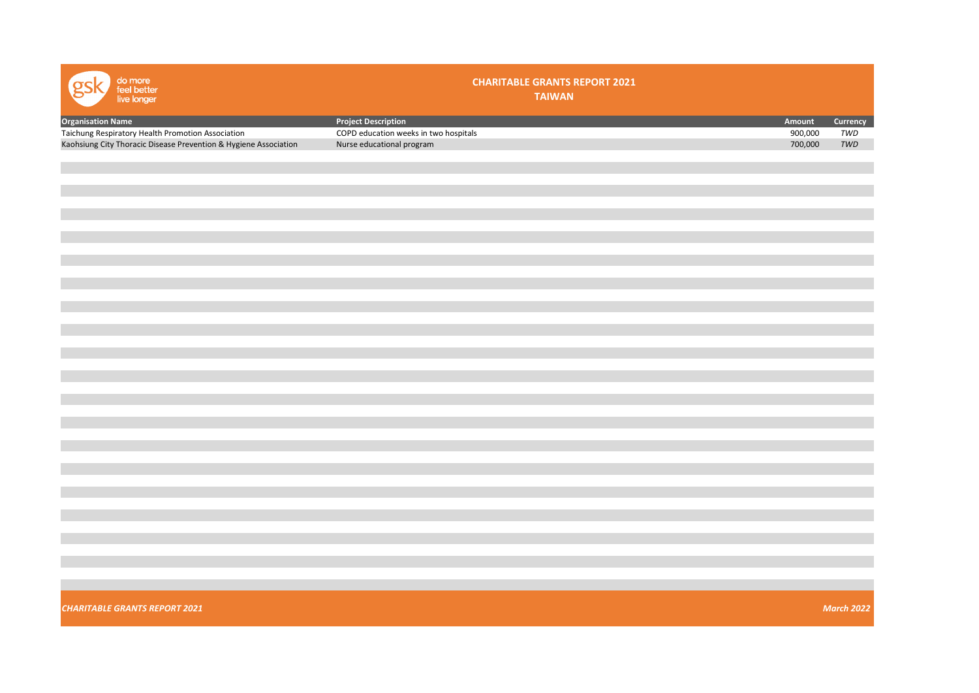| do more<br>feel better<br>live longer                            | <b>CHARITABLE GRANTS REPORT 2021</b><br><b>TAIWAN</b> |         |                             |
|------------------------------------------------------------------|-------------------------------------------------------|---------|-----------------------------|
| <b>Organisation Name</b>                                         | <b>Project Description</b>                            | Amount  | Currency                    |
| Taichung Respiratory Health Promotion Association                | COPD education weeks in two hospitals                 | 900,000 | $\ensuremath{\mathit{TWD}}$ |
| Kaohsiung City Thoracic Disease Prevention & Hygiene Association | Nurse educational program                             | 700,000 | $\ensuremath{\mathit{TWD}}$ |
|                                                                  |                                                       |         |                             |
|                                                                  |                                                       |         |                             |
|                                                                  |                                                       |         |                             |
|                                                                  |                                                       |         |                             |
|                                                                  |                                                       |         |                             |
|                                                                  |                                                       |         |                             |
|                                                                  |                                                       |         |                             |
|                                                                  |                                                       |         |                             |
|                                                                  |                                                       |         |                             |
|                                                                  |                                                       |         |                             |
|                                                                  |                                                       |         |                             |
|                                                                  |                                                       |         |                             |
|                                                                  |                                                       |         |                             |
|                                                                  |                                                       |         |                             |
|                                                                  |                                                       |         |                             |
|                                                                  |                                                       |         |                             |
|                                                                  |                                                       |         |                             |
|                                                                  |                                                       |         |                             |
|                                                                  |                                                       |         |                             |
|                                                                  |                                                       |         |                             |
|                                                                  |                                                       |         |                             |
|                                                                  |                                                       |         |                             |
|                                                                  |                                                       |         |                             |
|                                                                  |                                                       |         |                             |
|                                                                  |                                                       |         |                             |
|                                                                  |                                                       |         |                             |
|                                                                  |                                                       |         |                             |
|                                                                  |                                                       |         |                             |
|                                                                  |                                                       |         |                             |
|                                                                  |                                                       |         |                             |
|                                                                  |                                                       |         |                             |
|                                                                  |                                                       |         |                             |
|                                                                  |                                                       |         |                             |
| <b>CHARITABLE GRANTS REPORT 2021</b>                             |                                                       |         | <b>March 2022</b>           |
|                                                                  |                                                       |         |                             |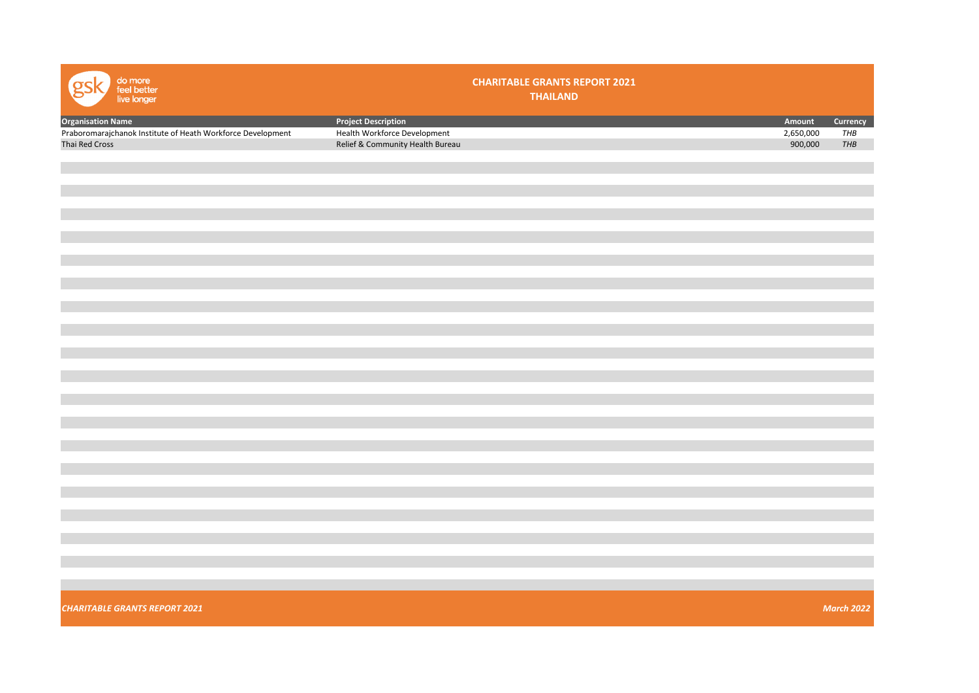| do more<br>feel better<br>live longer                                                                     |                                                                                                | <b>CHARITABLE GRANTS REPORT 2021</b><br><b>THAILAND</b> |                                |                        |
|-----------------------------------------------------------------------------------------------------------|------------------------------------------------------------------------------------------------|---------------------------------------------------------|--------------------------------|------------------------|
| <b>Organisation Name</b><br>Praboromarajchanok Institute of Heath Workforce Development<br>Thai Red Cross | <b>Project Description</b><br>Health Workforce Development<br>Relief & Community Health Bureau |                                                         | Amount<br>2,650,000<br>900,000 | Currency<br>THB<br>THB |
|                                                                                                           |                                                                                                |                                                         |                                |                        |
|                                                                                                           |                                                                                                |                                                         |                                |                        |
|                                                                                                           |                                                                                                |                                                         |                                |                        |
|                                                                                                           |                                                                                                |                                                         |                                |                        |
|                                                                                                           |                                                                                                |                                                         |                                |                        |
|                                                                                                           |                                                                                                |                                                         |                                |                        |
|                                                                                                           |                                                                                                |                                                         |                                |                        |
|                                                                                                           |                                                                                                |                                                         |                                |                        |
|                                                                                                           |                                                                                                |                                                         |                                |                        |
| <b>CHARITABLE GRANTS REPORT 2021</b>                                                                      |                                                                                                |                                                         |                                | <b>March 2022</b>      |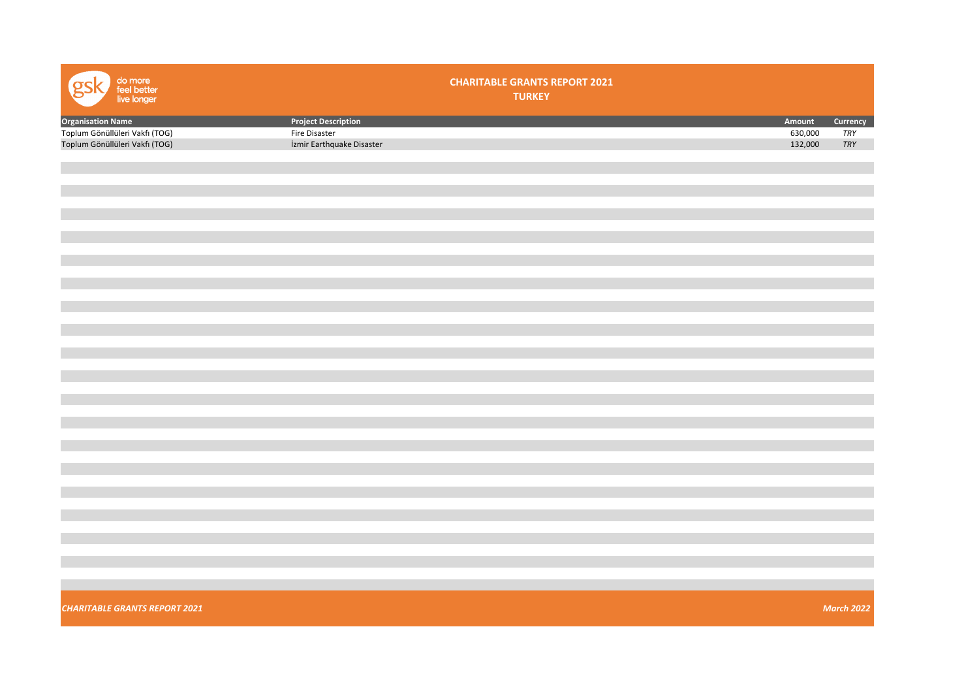| do more<br>feel better<br>live longer | <b>CHARITABLE GRANTS REPORT 2021</b><br><b>TURKEY</b> |         |                   |
|---------------------------------------|-------------------------------------------------------|---------|-------------------|
| <b>Organisation Name</b>              | <b>Project Description</b>                            | Amount  | Currency          |
| Toplum Gönüllüleri Vakfı (TOG)        | Fire Disaster                                         | 630,000 | TRY               |
| Toplum Gönüllüleri Vakfı (TOG)        | İzmir Earthquake Disaster                             | 132,000 | ${\it TRY}$       |
|                                       |                                                       |         |                   |
|                                       |                                                       |         |                   |
|                                       |                                                       |         |                   |
|                                       |                                                       |         |                   |
|                                       |                                                       |         |                   |
|                                       |                                                       |         |                   |
|                                       |                                                       |         |                   |
|                                       |                                                       |         |                   |
|                                       |                                                       |         |                   |
|                                       |                                                       |         |                   |
|                                       |                                                       |         |                   |
|                                       |                                                       |         |                   |
|                                       |                                                       |         |                   |
|                                       |                                                       |         |                   |
|                                       |                                                       |         |                   |
|                                       |                                                       |         |                   |
|                                       |                                                       |         |                   |
|                                       |                                                       |         |                   |
|                                       |                                                       |         |                   |
|                                       |                                                       |         |                   |
|                                       |                                                       |         |                   |
|                                       |                                                       |         |                   |
|                                       |                                                       |         |                   |
|                                       |                                                       |         |                   |
|                                       |                                                       |         |                   |
|                                       |                                                       |         |                   |
|                                       |                                                       |         |                   |
|                                       |                                                       |         |                   |
|                                       |                                                       |         |                   |
|                                       |                                                       |         |                   |
|                                       |                                                       |         |                   |
|                                       |                                                       |         |                   |
|                                       |                                                       |         |                   |
| <b>CHARITABLE GRANTS REPORT 2021</b>  |                                                       |         | <b>March 2022</b> |
|                                       |                                                       |         |                   |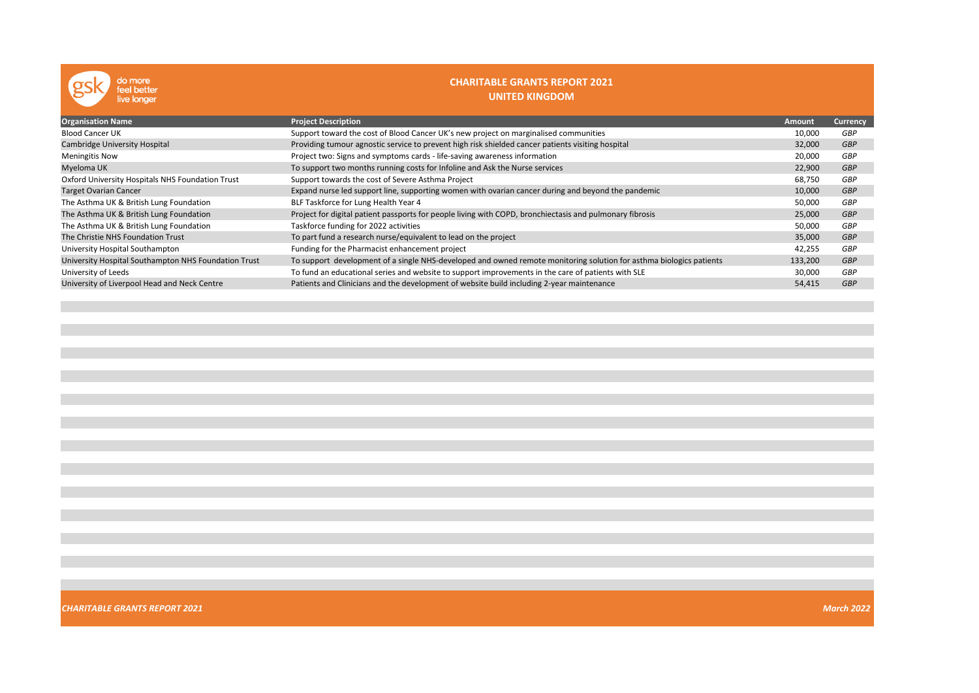| do more<br>feel better<br>live longer                | <b>CHARITABLE GRANTS REPORT 2021</b><br>UNITED KINGDOM                                                              |         |                 |
|------------------------------------------------------|---------------------------------------------------------------------------------------------------------------------|---------|-----------------|
| <b>Organisation Name</b>                             | <b>Project Description</b>                                                                                          | Amount  | <b>Currency</b> |
| <b>Blood Cancer UK</b>                               | Support toward the cost of Blood Cancer UK's new project on marginalised communities                                | 10,000  | GBP             |
| Cambridge University Hospital                        | Providing tumour agnostic service to prevent high risk shielded cancer patients visiting hospital                   | 32,000  | <b>GBP</b>      |
| <b>Meningitis Now</b>                                | Project two: Signs and symptoms cards - life-saving awareness information                                           | 20,000  | GBP             |
| Myeloma UK                                           | To support two months running costs for Infoline and Ask the Nurse services                                         | 22,900  | <b>GBP</b>      |
| Oxford University Hospitals NHS Foundation Trust     | Support towards the cost of Severe Asthma Project                                                                   | 68,750  | GBP             |
| <b>Target Ovarian Cancer</b>                         | Expand nurse led support line, supporting women with ovarian cancer during and beyond the pandemic                  | 10,000  | <b>GBP</b>      |
| The Asthma UK & British Lung Foundation              | BLF Taskforce for Lung Health Year 4                                                                                | 50,000  | GBP             |
| The Asthma UK & British Lung Foundation              | Project for digital patient passports for people living with COPD, bronchiectasis and pulmonary fibrosis            | 25,000  | GBP             |
| The Asthma UK & British Lung Foundation              | Taskforce funding for 2022 activities                                                                               | 50,000  | GBP             |
| The Christie NHS Foundation Trust                    | To part fund a research nurse/equivalent to lead on the project                                                     | 35,000  | <b>GBP</b>      |
| University Hospital Southampton                      | Funding for the Pharmacist enhancement project                                                                      | 42,255  | GBP             |
| University Hospital Southampton NHS Foundation Trust | To support development of a single NHS-developed and owned remote monitoring solution for asthma biologics patients | 133,200 | <b>GBP</b>      |
| University of Leeds                                  | To fund an educational series and website to support improvements in the care of patients with SLE                  | 30,000  | GBP             |
| University of Liverpool Head and Neck Centre         | Patients and Clinicians and the development of website build including 2-year maintenance                           | 54,415  | <b>GBP</b>      |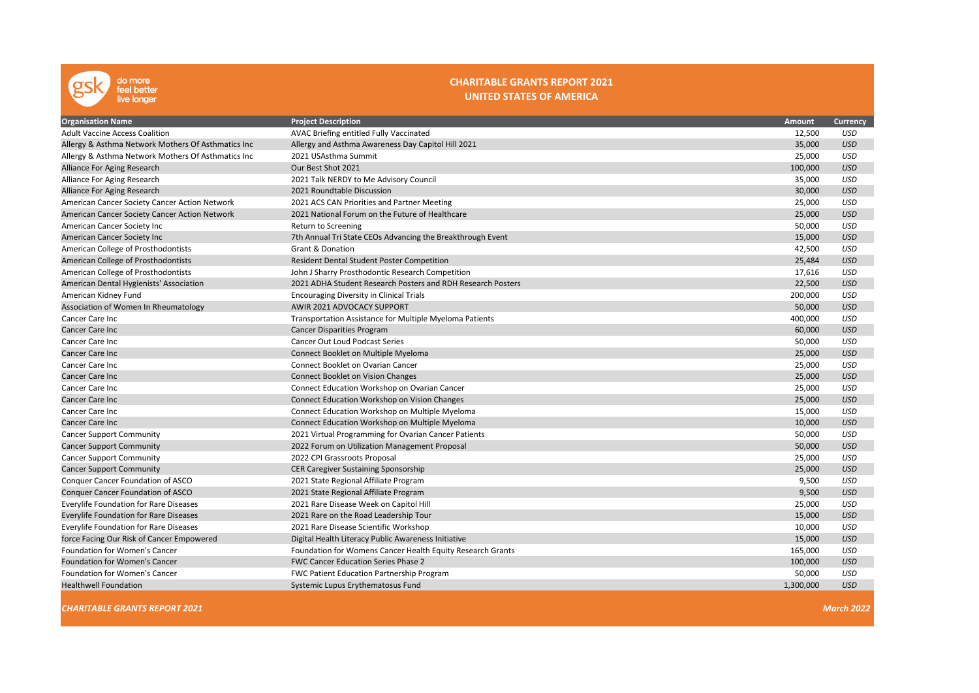

### CHARITABLE GRANTS REPORT 2021 UNITED STATES OF AMERICA

| <b>Organisation Name</b>                           | <b>Project Description</b>                                  | Amount    | <b>Currency</b>   |
|----------------------------------------------------|-------------------------------------------------------------|-----------|-------------------|
| <b>Adult Vaccine Access Coalition</b>              | AVAC Briefing entitled Fully Vaccinated                     | 12,500    | <b>USD</b>        |
| Allergy & Asthma Network Mothers Of Asthmatics Inc | Allergy and Asthma Awareness Day Capitol Hill 2021          | 35,000    | <b>USD</b>        |
| Allergy & Asthma Network Mothers Of Asthmatics Inc | 2021 USAsthma Summit                                        | 25,000    | <b>USD</b>        |
| Alliance For Aging Research                        | Our Best Shot 2021                                          | 100,000   | <b>USD</b>        |
| Alliance For Aging Research                        | 2021 Talk NERDY to Me Advisory Council                      | 35,000    | <b>USD</b>        |
| Alliance For Aging Research                        | 2021 Roundtable Discussion                                  | 30,000    | <b>USD</b>        |
| American Cancer Society Cancer Action Network      | 2021 ACS CAN Priorities and Partner Meeting                 | 25,000    | <b>USD</b>        |
| American Cancer Society Cancer Action Network      | 2021 National Forum on the Future of Healthcare             | 25,000    | <b>USD</b>        |
| American Cancer Society Inc                        | Return to Screening                                         | 50,000    | <b>USD</b>        |
| American Cancer Society Inc                        | 7th Annual Tri State CEOs Advancing the Breakthrough Event  | 15,000    | <b>USD</b>        |
| American College of Prosthodontists                | Grant & Donation                                            | 42,500    | <b>USD</b>        |
| American College of Prosthodontists                | <b>Resident Dental Student Poster Competition</b>           | 25,484    | <b>USD</b>        |
| American College of Prosthodontists                | John J Sharry Prosthodontic Research Competition            | 17,616    | <b>USD</b>        |
| American Dental Hygienists' Association            | 2021 ADHA Student Research Posters and RDH Research Posters | 22,500    | <b>USD</b>        |
| American Kidney Fund                               | Encouraging Diversity in Clinical Trials                    | 200,000   | <b>USD</b>        |
| Association of Women In Rheumatology               | AWIR 2021 ADVOCACY SUPPORT                                  | 50,000    | <b>USD</b>        |
| Cancer Care Inc                                    | Transportation Assistance for Multiple Myeloma Patients     | 400,000   | USD               |
| <b>Cancer Care Inc.</b>                            | <b>Cancer Disparities Program</b>                           | 60,000    | <b>USD</b>        |
| Cancer Care Inc                                    | <b>Cancer Out Loud Podcast Series</b>                       | 50,000    | <b>USD</b>        |
| <b>Cancer Care Inc</b>                             | Connect Booklet on Multiple Myeloma                         | 25,000    | <b>USD</b>        |
| Cancer Care Inc                                    | Connect Booklet on Ovarian Cancer                           | 25,000    | <b>USD</b>        |
| <b>Cancer Care Inc</b>                             | <b>Connect Booklet on Vision Changes</b>                    | 25,000    | <b>USD</b>        |
| Cancer Care Inc                                    | Connect Education Workshop on Ovarian Cancer                | 25,000    | USD               |
| <b>Cancer Care Inc</b>                             | Connect Education Workshop on Vision Changes                | 25,000    | <b>USD</b>        |
| Cancer Care Inc                                    | Connect Education Workshop on Multiple Myeloma              | 15,000    | <b>USD</b>        |
| <b>Cancer Care Inc</b>                             | Connect Education Workshop on Multiple Myeloma              | 10,000    | <b>USD</b>        |
| <b>Cancer Support Community</b>                    | 2021 Virtual Programming for Ovarian Cancer Patients        | 50,000    | <b>USD</b>        |
| <b>Cancer Support Community</b>                    | 2022 Forum on Utilization Management Proposal               | 50,000    | <b>USD</b>        |
| <b>Cancer Support Community</b>                    | 2022 CPI Grassroots Proposal                                | 25,000    | <b>USD</b>        |
| <b>Cancer Support Community</b>                    | <b>CER Caregiver Sustaining Sponsorship</b>                 | 25,000    | <b>USD</b>        |
| Conquer Cancer Foundation of ASCO                  | 2021 State Regional Affiliate Program                       | 9,500     | <b>USD</b>        |
| <b>Conquer Cancer Foundation of ASCO</b>           | 2021 State Regional Affiliate Program                       | 9,500     | <b>USD</b>        |
| <b>Everylife Foundation for Rare Diseases</b>      | 2021 Rare Disease Week on Capitol Hill                      | 25,000    | <b>USD</b>        |
| <b>Everylife Foundation for Rare Diseases</b>      | 2021 Rare on the Road Leadership Tour                       | 15,000    | <b>USD</b>        |
| <b>Everylife Foundation for Rare Diseases</b>      | 2021 Rare Disease Scientific Workshop                       | 10,000    | <b>USD</b>        |
| force Facing Our Risk of Cancer Empowered          | Digital Health Literacy Public Awareness Initiative         | 15,000    | <b>USD</b>        |
| Foundation for Women's Cancer                      | Foundation for Womens Cancer Health Equity Research Grants  | 165,000   | USD               |
| Foundation for Women's Cancer                      | <b>FWC Cancer Education Series Phase 2</b>                  | 100,000   | <b>USD</b>        |
| Foundation for Women's Cancer                      | FWC Patient Education Partnership Program                   | 50,000    | USD               |
| <b>Healthwell Foundation</b>                       | Systemic Lupus Erythematosus Fund                           | 1,300,000 | <b>USD</b>        |
| <b>CHARITABLE GRANTS REPORT 2021</b>               |                                                             |           | <b>March 2022</b> |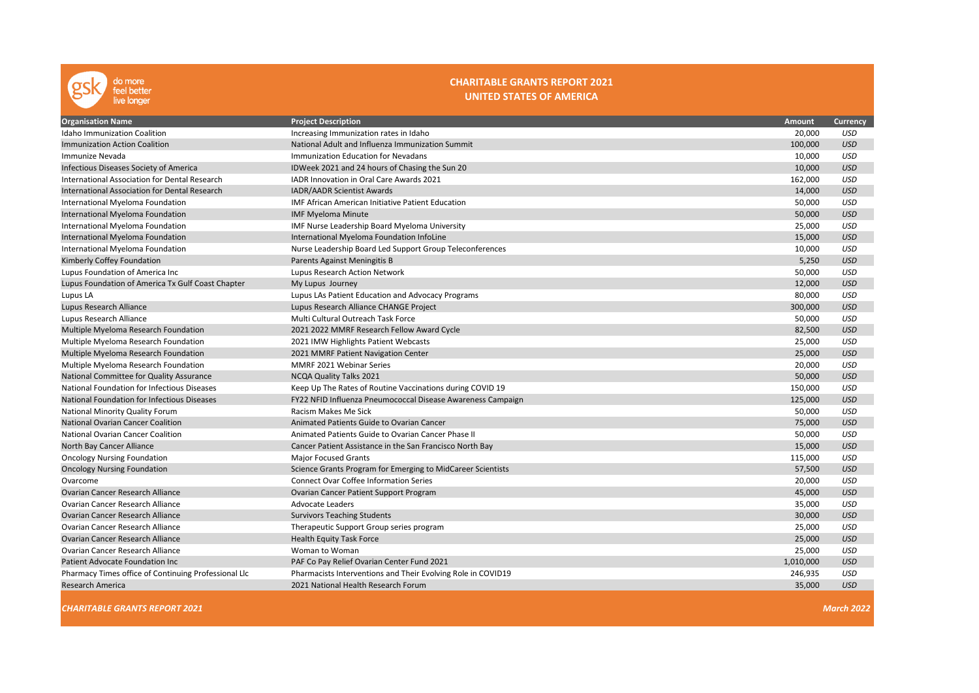

### CHARITABLE GRANTS REPORT 2021 UNITED STATES OF AMERICA

| <b>Organisation Name</b>                             | <b>Project Description</b>                                   | <b>Amount</b> | Currency   |
|------------------------------------------------------|--------------------------------------------------------------|---------------|------------|
| <b>Idaho Immunization Coalition</b>                  | Increasing Immunization rates in Idaho                       | 20,000        | <b>USD</b> |
| Immunization Action Coalition                        | National Adult and Influenza Immunization Summit             | 100,000       | <b>USD</b> |
| Immunize Nevada                                      | <b>Immunization Education for Nevadans</b>                   | 10,000        | <b>USD</b> |
| Infectious Diseases Society of America               | IDWeek 2021 and 24 hours of Chasing the Sun 20               | 10,000        | <b>USD</b> |
| International Association for Dental Research        | IADR Innovation in Oral Care Awards 2021                     | 162,000       | <b>USD</b> |
| International Association for Dental Research        | IADR/AADR Scientist Awards                                   | 14,000        | <b>USD</b> |
| International Myeloma Foundation                     | <b>IMF African American Initiative Patient Education</b>     | 50,000        | <b>USD</b> |
| International Myeloma Foundation                     | <b>IMF Myeloma Minute</b>                                    | 50,000        | <b>USD</b> |
| International Myeloma Foundation                     | IMF Nurse Leadership Board Myeloma University                | 25,000        | USD        |
| International Myeloma Foundation                     | International Myeloma Foundation InfoLine                    | 15,000        | <b>USD</b> |
| International Myeloma Foundation                     | Nurse Leadership Board Led Support Group Teleconferences     | 10,000        | <b>USD</b> |
| Kimberly Coffey Foundation                           | Parents Against Meningitis B                                 | 5,250         | <b>USD</b> |
| Lupus Foundation of America Inc                      | Lupus Research Action Network                                | 50,000        | <b>USD</b> |
| Lupus Foundation of America Tx Gulf Coast Chapter    | My Lupus Journey                                             | 12,000        | <b>USD</b> |
| Lupus LA                                             | Lupus LAs Patient Education and Advocacy Programs            | 80,000        | <b>USD</b> |
| Lupus Research Alliance                              | Lupus Research Alliance CHANGE Project                       | 300,000       | <b>USD</b> |
| Lupus Research Alliance                              | Multi Cultural Outreach Task Force                           | 50,000        | <b>USD</b> |
| Multiple Myeloma Research Foundation                 | 2021 2022 MMRF Research Fellow Award Cycle                   | 82,500        | <b>USD</b> |
| Multiple Myeloma Research Foundation                 | 2021 IMW Highlights Patient Webcasts                         | 25,000        | USD        |
| Multiple Myeloma Research Foundation                 | 2021 MMRF Patient Navigation Center                          | 25,000        | <b>USD</b> |
| Multiple Myeloma Research Foundation                 | MMRF 2021 Webinar Series                                     | 20,000        | <b>USD</b> |
| National Committee for Quality Assurance             | NCQA Quality Talks 2021                                      | 50,000        | <b>USD</b> |
| National Foundation for Infectious Diseases          | Keep Up The Rates of Routine Vaccinations during COVID 19    | 150,000       | <b>USD</b> |
| National Foundation for Infectious Diseases          | FY22 NFID Influenza Pneumococcal Disease Awareness Campaign  | 125,000       | <b>USD</b> |
| National Minority Quality Forum                      | Racism Makes Me Sick                                         | 50,000        | <b>USD</b> |
| <b>National Ovarian Cancer Coalition</b>             | Animated Patients Guide to Ovarian Cancer                    | 75,000        | <b>USD</b> |
| <b>National Ovarian Cancer Coalition</b>             | Animated Patients Guide to Ovarian Cancer Phase II           | 50,000        | <b>USD</b> |
| North Bay Cancer Alliance                            | Cancer Patient Assistance in the San Francisco North Bay     | 15,000        | <b>USD</b> |
| <b>Oncology Nursing Foundation</b>                   | <b>Major Focused Grants</b>                                  | 115,000       | <b>USD</b> |
| <b>Oncology Nursing Foundation</b>                   | Science Grants Program for Emerging to MidCareer Scientists  | 57,500        | <b>USD</b> |
| Ovarcome                                             | <b>Connect Ovar Coffee Information Series</b>                | 20,000        | <b>USD</b> |
| <b>Ovarian Cancer Research Alliance</b>              | Ovarian Cancer Patient Support Program                       | 45,000        | <b>USD</b> |
| Ovarian Cancer Research Alliance                     | <b>Advocate Leaders</b>                                      | 35,000        | <b>USD</b> |
| Ovarian Cancer Research Alliance                     | <b>Survivors Teaching Students</b>                           | 30,000        | <b>USD</b> |
| <b>Ovarian Cancer Research Alliance</b>              | Therapeutic Support Group series program                     | 25,000        | <b>USD</b> |
| <b>Ovarian Cancer Research Alliance</b>              | <b>Health Equity Task Force</b>                              | 25,000        | <b>USD</b> |
| Ovarian Cancer Research Alliance                     | Woman to Woman                                               | 25,000        | <b>USD</b> |
| Patient Advocate Foundation Inc                      | PAF Co Pay Relief Ovarian Center Fund 2021                   | 1,010,000     | <b>USD</b> |
| Pharmacy Times office of Continuing Professional Llc | Pharmacists Interventions and Their Evolving Role in COVID19 | 246,935       | <b>USD</b> |
| <b>Research America</b>                              | 2021 National Health Research Forum                          | 35,000        | <b>USD</b> |
|                                                      |                                                              |               |            |

**CHARITABLE GRANTS REPORT 2021** March 2022 **March 2022**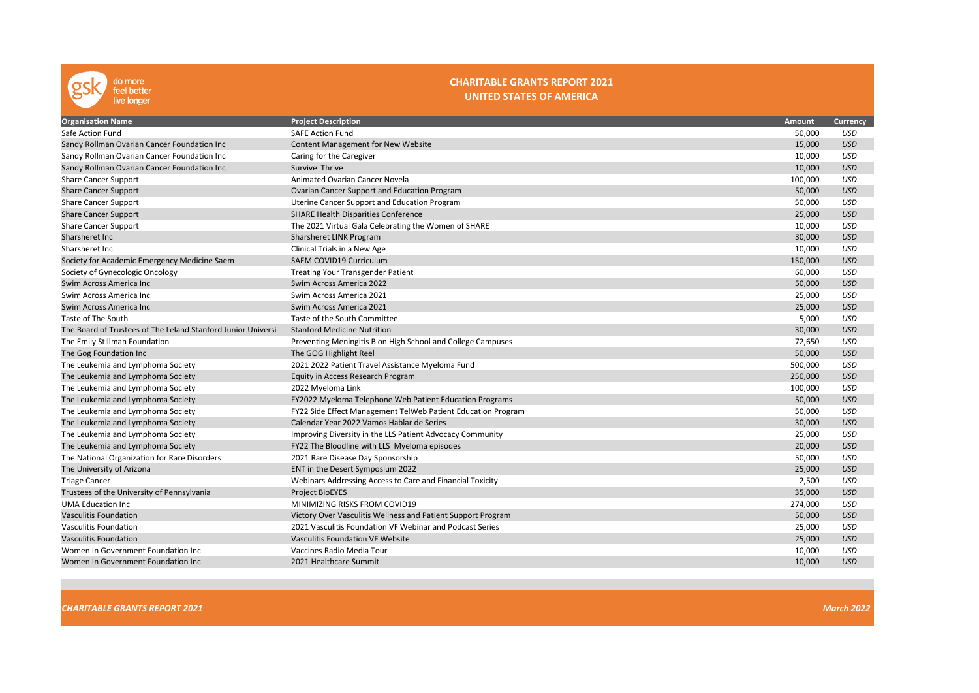

### CHARITABLE GRANTS REPORT 2021 UNITED STATES OF AMERICA

| <b>Organisation Name</b>                                     | <b>Project Description</b>                                   | <b>Amount</b> | <b>Currency</b> |
|--------------------------------------------------------------|--------------------------------------------------------------|---------------|-----------------|
| Safe Action Fund                                             | <b>SAFE Action Fund</b>                                      | 50,000        | <b>USD</b>      |
| Sandy Rollman Ovarian Cancer Foundation Inc                  | Content Management for New Website                           | 15,000        | <b>USD</b>      |
| Sandy Rollman Ovarian Cancer Foundation Inc                  | Caring for the Caregiver                                     | 10,000        | <b>USD</b>      |
| Sandy Rollman Ovarian Cancer Foundation Inc                  | Survive Thrive                                               | 10,000        | <b>USD</b>      |
| <b>Share Cancer Support</b>                                  | Animated Ovarian Cancer Novela                               | 100,000       | <b>USD</b>      |
| <b>Share Cancer Support</b>                                  | Ovarian Cancer Support and Education Program                 | 50,000        | <b>USD</b>      |
| <b>Share Cancer Support</b>                                  | Uterine Cancer Support and Education Program                 | 50,000        | <b>USD</b>      |
| <b>Share Cancer Support</b>                                  | <b>SHARE Health Disparities Conference</b>                   | 25,000        | <b>USD</b>      |
| <b>Share Cancer Support</b>                                  | The 2021 Virtual Gala Celebrating the Women of SHARE         | 10,000        | <b>USD</b>      |
| Sharsheret Inc                                               | Sharsheret LINK Program                                      | 30,000        | <b>USD</b>      |
| Sharsheret Inc.                                              | Clinical Trials in a New Age                                 | 10,000        | <b>USD</b>      |
| Society for Academic Emergency Medicine Saem                 | <b>SAEM COVID19 Curriculum</b>                               | 150,000       | <b>USD</b>      |
| Society of Gynecologic Oncology                              | <b>Treating Your Transgender Patient</b>                     | 60,000        | USD             |
| Swim Across America Inc                                      | Swim Across America 2022                                     | 50,000        | <b>USD</b>      |
| Swim Across America Inc                                      | Swim Across America 2021                                     | 25,000        | USD             |
| Swim Across America Inc                                      | Swim Across America 2021                                     | 25,000        | <b>USD</b>      |
| Taste of The South                                           | Taste of the South Committee                                 | 5,000         | USD             |
| The Board of Trustees of The Leland Stanford Junior Universi | <b>Stanford Medicine Nutrition</b>                           | 30,000        | <b>USD</b>      |
| The Emily Stillman Foundation                                | Preventing Meningitis B on High School and College Campuses  | 72,650        | <b>USD</b>      |
| The Gog Foundation Inc                                       | The GOG Highlight Reel                                       | 50,000        | <b>USD</b>      |
| The Leukemia and Lymphoma Society                            | 2021 2022 Patient Travel Assistance Myeloma Fund             | 500,000       | <b>USD</b>      |
| The Leukemia and Lymphoma Society                            | Equity in Access Research Program                            | 250,000       | <b>USD</b>      |
| The Leukemia and Lymphoma Society                            | 2022 Myeloma Link                                            | 100,000       | <b>USD</b>      |
| The Leukemia and Lymphoma Society                            | FY2022 Myeloma Telephone Web Patient Education Programs      | 50,000        | <b>USD</b>      |
| The Leukemia and Lymphoma Society                            | FY22 Side Effect Management TelWeb Patient Education Program | 50,000        | USD             |
| The Leukemia and Lymphoma Society                            | Calendar Year 2022 Vamos Hablar de Series                    | 30,000        | <b>USD</b>      |
| The Leukemia and Lymphoma Society                            | Improving Diversity in the LLS Patient Advocacy Community    | 25,000        | USD             |
| The Leukemia and Lymphoma Society                            | FY22 The Bloodline with LLS Myeloma episodes                 | 20,000        | <b>USD</b>      |
| The National Organization for Rare Disorders                 | 2021 Rare Disease Day Sponsorship                            | 50,000        | <b>USD</b>      |
| The University of Arizona                                    | ENT in the Desert Symposium 2022                             | 25,000        | <b>USD</b>      |
| <b>Triage Cancer</b>                                         | Webinars Addressing Access to Care and Financial Toxicity    | 2,500         | <b>USD</b>      |
| Trustees of the University of Pennsylvania                   | <b>Project BioEYES</b>                                       | 35,000        | <b>USD</b>      |
| <b>UMA Education Inc</b>                                     | MINIMIZING RISKS FROM COVID19                                | 274,000       | <b>USD</b>      |
| <b>Vasculitis Foundation</b>                                 | Victory Over Vasculitis Wellness and Patient Support Program | 50,000        | <b>USD</b>      |
| <b>Vasculitis Foundation</b>                                 | 2021 Vasculitis Foundation VF Webinar and Podcast Series     | 25,000        | USD             |
| <b>Vasculitis Foundation</b>                                 | Vasculitis Foundation VF Website                             | 25,000        | <b>USD</b>      |
| Women In Government Foundation Inc                           | Vaccines Radio Media Tour                                    | 10,000        | <b>USD</b>      |
| Women In Government Foundation Inc.                          | 2021 Healthcare Summit                                       | 10,000        | <b>USD</b>      |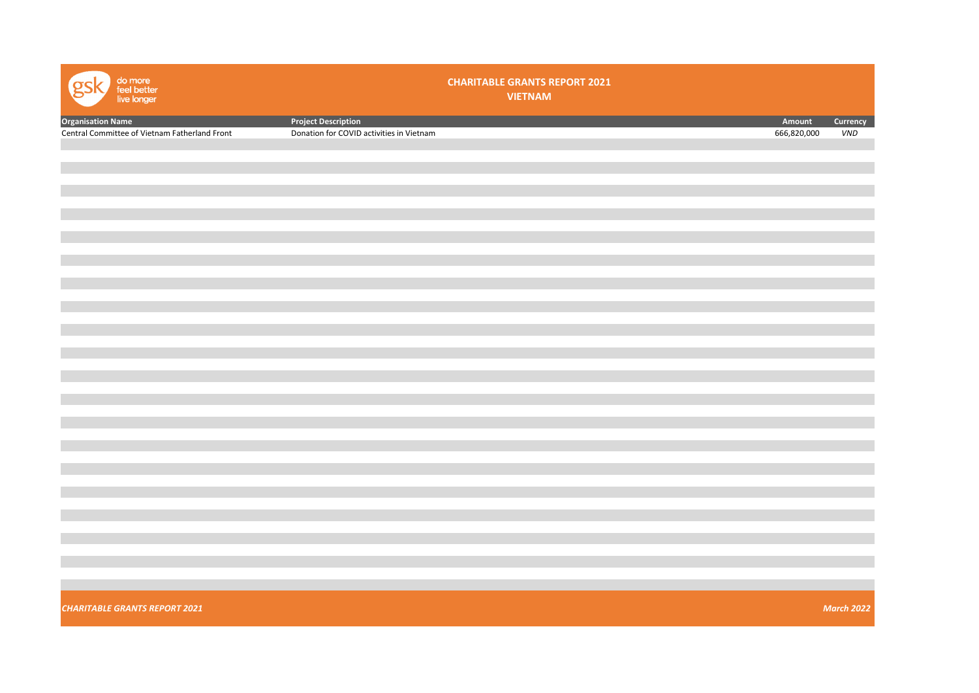| do more<br>feel better<br>live longer         |                                          | <b>CHARITABLE GRANTS REPORT 2021</b><br><b>VIETNAM</b> |             |                   |
|-----------------------------------------------|------------------------------------------|--------------------------------------------------------|-------------|-------------------|
| <b>Organisation Name</b>                      | <b>Project Description</b>               |                                                        | Amount      | Currency          |
| Central Committee of Vietnam Fatherland Front | Donation for COVID activities in Vietnam |                                                        | 666,820,000 | <b>VND</b>        |
|                                               |                                          |                                                        |             |                   |
|                                               |                                          |                                                        |             |                   |
|                                               |                                          |                                                        |             |                   |
|                                               |                                          |                                                        |             |                   |
|                                               |                                          |                                                        |             |                   |
|                                               |                                          |                                                        |             |                   |
|                                               |                                          |                                                        |             |                   |
|                                               |                                          |                                                        |             |                   |
|                                               |                                          |                                                        |             |                   |
|                                               |                                          |                                                        |             |                   |
|                                               |                                          |                                                        |             |                   |
|                                               |                                          |                                                        |             |                   |
|                                               |                                          |                                                        |             |                   |
|                                               |                                          |                                                        |             |                   |
|                                               |                                          |                                                        |             |                   |
|                                               |                                          |                                                        |             |                   |
|                                               |                                          |                                                        |             |                   |
|                                               |                                          |                                                        |             |                   |
|                                               |                                          |                                                        |             |                   |
|                                               |                                          |                                                        |             |                   |
|                                               |                                          |                                                        |             |                   |
|                                               |                                          |                                                        |             |                   |
|                                               |                                          |                                                        |             |                   |
|                                               |                                          |                                                        |             |                   |
|                                               |                                          |                                                        |             |                   |
|                                               |                                          |                                                        |             |                   |
|                                               |                                          |                                                        |             |                   |
|                                               |                                          |                                                        |             |                   |
|                                               |                                          |                                                        |             |                   |
|                                               |                                          |                                                        |             |                   |
|                                               |                                          |                                                        |             |                   |
| <b>CHARITABLE GRANTS REPORT 2021</b>          |                                          |                                                        |             | <b>March 2022</b> |
|                                               |                                          |                                                        |             |                   |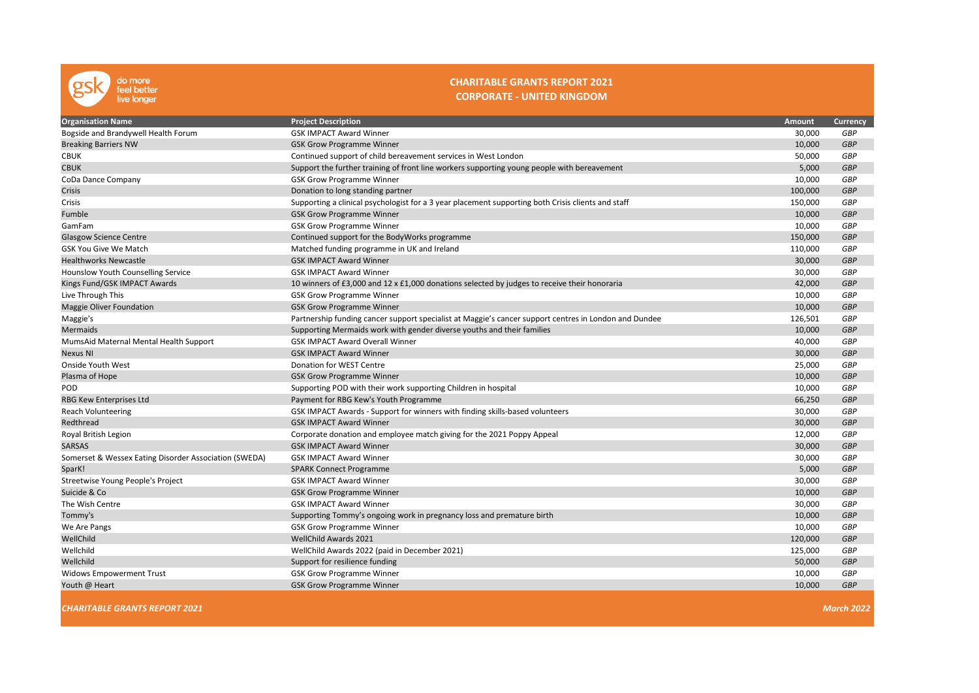

### CHARITABLE GRANTS REPORT 2021 CORPORATE - UNITED KINGDOM

| <b>Organisation Name</b>                              | <b>Project Description</b>                                                                            | Amount  | <b>Currency</b>   |
|-------------------------------------------------------|-------------------------------------------------------------------------------------------------------|---------|-------------------|
| Bogside and Brandywell Health Forum                   | <b>GSK IMPACT Award Winner</b>                                                                        | 30,000  | <b>GBP</b>        |
| <b>Breaking Barriers NW</b>                           | <b>GSK Grow Programme Winner</b>                                                                      | 10,000  | <b>GBP</b>        |
| <b>CBUK</b>                                           | Continued support of child bereavement services in West London                                        | 50,000  | <b>GBP</b>        |
| <b>CBUK</b>                                           | Support the further training of front line workers supporting young people with bereavement           | 5,000   | <b>GBP</b>        |
| CoDa Dance Company                                    | <b>GSK Grow Programme Winner</b>                                                                      | 10,000  | GBP               |
| Crisis                                                | Donation to long standing partner                                                                     | 100,000 | <b>GBP</b>        |
| Crisis                                                | Supporting a clinical psychologist for a 3 year placement supporting both Crisis clients and staff    | 150,000 | GBP               |
| Fumble                                                | <b>GSK Grow Programme Winner</b>                                                                      | 10,000  | <b>GBP</b>        |
| GamFam                                                | <b>GSK Grow Programme Winner</b>                                                                      | 10,000  | GBP               |
| <b>Glasgow Science Centre</b>                         | Continued support for the BodyWorks programme                                                         | 150,000 | <b>GBP</b>        |
| <b>GSK You Give We Match</b>                          | Matched funding programme in UK and Ireland                                                           | 110,000 | GBP               |
| <b>Healthworks Newcastle</b>                          | <b>GSK IMPACT Award Winner</b>                                                                        | 30,000  | <b>GBP</b>        |
| Hounslow Youth Counselling Service                    | <b>GSK IMPACT Award Winner</b>                                                                        | 30,000  | <b>GBP</b>        |
| Kings Fund/GSK IMPACT Awards                          | 10 winners of £3,000 and 12 x £1,000 donations selected by judges to receive their honoraria          | 42,000  | <b>GBP</b>        |
| Live Through This                                     | <b>GSK Grow Programme Winner</b>                                                                      | 10,000  | <b>GBP</b>        |
| Maggie Oliver Foundation                              | <b>GSK Grow Programme Winner</b>                                                                      | 10,000  | <b>GBP</b>        |
| Maggie's                                              | Partnership funding cancer support specialist at Maggie's cancer support centres in London and Dundee | 126,501 | <b>GBP</b>        |
| Mermaids                                              | Supporting Mermaids work with gender diverse youths and their families                                | 10,000  | <b>GBP</b>        |
| MumsAid Maternal Mental Health Support                | <b>GSK IMPACT Award Overall Winner</b>                                                                | 40,000  | <b>GBP</b>        |
| <b>Nexus NI</b>                                       | <b>GSK IMPACT Award Winner</b>                                                                        | 30,000  | <b>GBP</b>        |
| Onside Youth West                                     | Donation for WEST Centre                                                                              | 25,000  | GBP               |
| Plasma of Hope                                        | <b>GSK Grow Programme Winner</b>                                                                      | 10,000  | <b>GBP</b>        |
| POD                                                   | Supporting POD with their work supporting Children in hospital                                        | 10,000  | GBP               |
| RBG Kew Enterprises Ltd                               | Payment for RBG Kew's Youth Programme                                                                 | 66,250  | <b>GBP</b>        |
| Reach Volunteering                                    | GSK IMPACT Awards - Support for winners with finding skills-based volunteers                          | 30,000  | GBP               |
| Redthread                                             | <b>GSK IMPACT Award Winner</b>                                                                        | 30,000  | <b>GBP</b>        |
| Royal British Legion                                  | Corporate donation and employee match giving for the 2021 Poppy Appeal                                | 12,000  | <b>GBP</b>        |
| <b>SARSAS</b>                                         | <b>GSK IMPACT Award Winner</b>                                                                        | 30,000  | <b>GBP</b>        |
| Somerset & Wessex Eating Disorder Association (SWEDA) | <b>GSK IMPACT Award Winner</b>                                                                        | 30,000  | <b>GBP</b>        |
| SparK!                                                | <b>SPARK Connect Programme</b>                                                                        | 5,000   | <b>GBP</b>        |
| Streetwise Young People's Project                     | <b>GSK IMPACT Award Winner</b>                                                                        | 30,000  | <b>GBP</b>        |
| Suicide & Co                                          | <b>GSK Grow Programme Winner</b>                                                                      | 10,000  | <b>GBP</b>        |
| The Wish Centre                                       | <b>GSK IMPACT Award Winner</b>                                                                        | 30,000  | <b>GBP</b>        |
| Tommy's                                               | Supporting Tommy's ongoing work in pregnancy loss and premature birth                                 | 10,000  | <b>GBP</b>        |
| We Are Pangs                                          | <b>GSK Grow Programme Winner</b>                                                                      | 10,000  | <b>GBP</b>        |
| WellChild                                             | <b>WellChild Awards 2021</b>                                                                          | 120,000 | <b>GBP</b>        |
| Wellchild                                             | WellChild Awards 2022 (paid in December 2021)                                                         | 125,000 | <b>GBP</b>        |
| Wellchild                                             | Support for resilience funding                                                                        | 50,000  | <b>GBP</b>        |
| <b>Widows Empowerment Trust</b>                       | <b>GSK Grow Programme Winner</b>                                                                      | 10,000  | GBP               |
| Youth @ Heart                                         | <b>GSK Grow Programme Winner</b>                                                                      | 10,000  | <b>GBP</b>        |
| <b>CHARITABLE GRANTS REPORT 2021</b>                  |                                                                                                       |         | <b>March 2022</b> |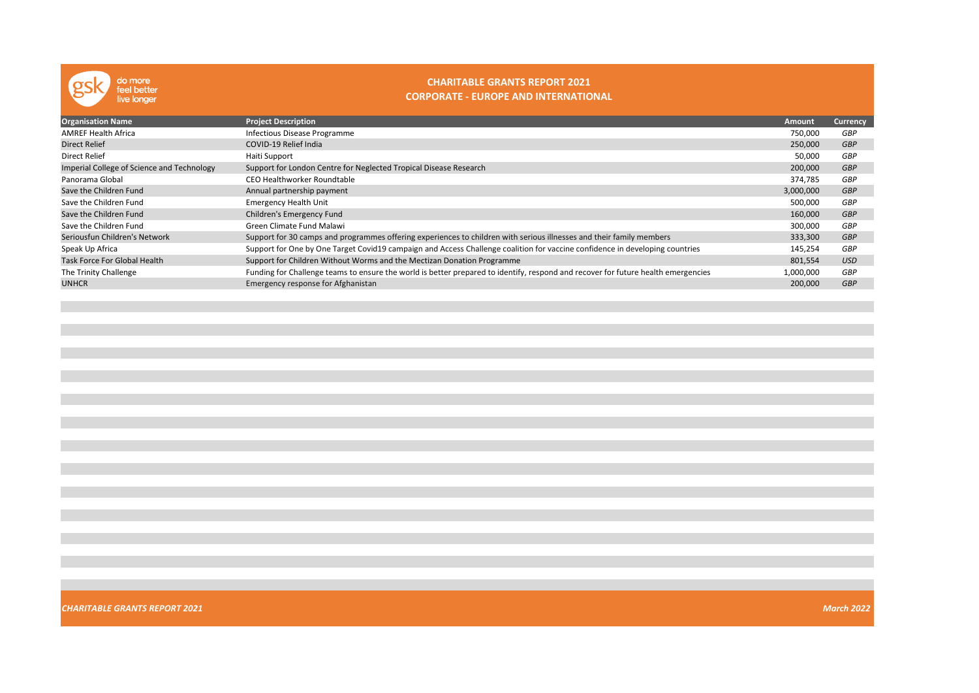

### CHARITABLE GRANTS REPORT 2021 CORPORATE - EUROPE AND INTERNATIONAL

| <b>Organisation Name</b>                   | <b>Project Description</b>                                                                                                        | <b>Amount</b> | Currency   |
|--------------------------------------------|-----------------------------------------------------------------------------------------------------------------------------------|---------------|------------|
| <b>AMREF Health Africa</b>                 | Infectious Disease Programme                                                                                                      | 750,000       | GBP        |
| <b>Direct Relief</b>                       | COVID-19 Relief India                                                                                                             | 250,000       | <b>GBP</b> |
| Direct Relief                              | Haiti Support                                                                                                                     | 50,000        | <b>GBP</b> |
| Imperial College of Science and Technology | Support for London Centre for Neglected Tropical Disease Research                                                                 | 200,000       | <b>GBP</b> |
| Panorama Global                            | CEO Healthworker Roundtable                                                                                                       | 374,785       | GBP        |
| Save the Children Fund                     | Annual partnership payment                                                                                                        | 3,000,000     | <b>GBP</b> |
| Save the Children Fund                     | <b>Emergency Health Unit</b>                                                                                                      | 500,000       | GBP        |
| Save the Children Fund                     | Children's Emergency Fund                                                                                                         | 160,000       | <b>GBP</b> |
| Save the Children Fund                     | Green Climate Fund Malawi                                                                                                         | 300,000       | GBP        |
| Seriousfun Children's Network              | Support for 30 camps and programmes offering experiences to children with serious illnesses and their family members              | 333,300       | <b>GBP</b> |
| Speak Up Africa                            | Support for One by One Target Covid19 campaign and Access Challenge coalition for vaccine confidence in developing countries      | 145,254       | <b>GBP</b> |
| Task Force For Global Health               | Support for Children Without Worms and the Mectizan Donation Programme                                                            | 801,554       | <b>USD</b> |
| The Trinity Challenge                      | Funding for Challenge teams to ensure the world is better prepared to identify, respond and recover for future health emergencies | 1,000,000     | GBP        |
| <b>UNHCR</b>                               | Emergency response for Afghanistan                                                                                                | 200,000       | <b>GBP</b> |
|                                            |                                                                                                                                   |               |            |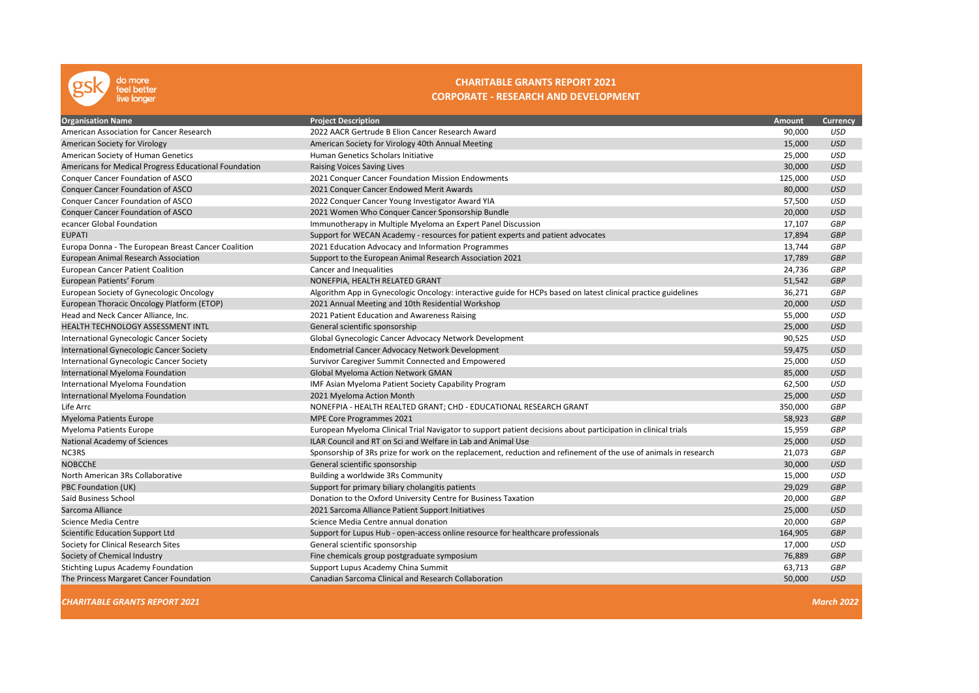

# CHARITABLE GRANTS REPORT 2021 CORPORATE - RESEARCH AND DEVELOPMENT

| <b>Organisation Name</b>                              | <b>Project Description</b>                                                                                       | Amount  | <b>Currency</b> |
|-------------------------------------------------------|------------------------------------------------------------------------------------------------------------------|---------|-----------------|
| American Association for Cancer Research              | 2022 AACR Gertrude B Elion Cancer Research Award                                                                 | 90,000  | <b>USD</b>      |
| American Society for Virology                         | American Society for Virology 40th Annual Meeting                                                                | 15,000  | <b>USD</b>      |
| American Society of Human Genetics                    | Human Genetics Scholars Initiative                                                                               | 25,000  | <b>USD</b>      |
| Americans for Medical Progress Educational Foundation | Raising Voices Saving Lives                                                                                      | 30,000  | <b>USD</b>      |
| Conquer Cancer Foundation of ASCO                     | 2021 Conquer Cancer Foundation Mission Endowments                                                                | 125,000 | <b>USD</b>      |
| <b>Conquer Cancer Foundation of ASCO</b>              | 2021 Conquer Cancer Endowed Merit Awards                                                                         | 80,000  | <b>USD</b>      |
| Conquer Cancer Foundation of ASCO                     | 2022 Conquer Cancer Young Investigator Award YIA                                                                 | 57,500  | <b>USD</b>      |
| <b>Conquer Cancer Foundation of ASCO</b>              | 2021 Women Who Conquer Cancer Sponsorship Bundle                                                                 | 20,000  | <b>USD</b>      |
| ecancer Global Foundation                             | Immunotherapy in Multiple Myeloma an Expert Panel Discussion                                                     | 17,107  | <b>GBP</b>      |
| <b>EUPATI</b>                                         | Support for WECAN Academy - resources for patient experts and patient advocates                                  | 17,894  | <b>GBP</b>      |
| Europa Donna - The European Breast Cancer Coalition   | 2021 Education Advocacy and Information Programmes                                                               | 13,744  | <b>GBP</b>      |
| European Animal Research Association                  | Support to the European Animal Research Association 2021                                                         | 17,789  | <b>GBP</b>      |
| <b>European Cancer Patient Coalition</b>              | Cancer and Inequalities                                                                                          | 24,736  | GBP             |
| European Patients' Forum                              | NONEFPIA, HEALTH RELATED GRANT                                                                                   | 51,542  | <b>GBP</b>      |
| European Society of Gynecologic Oncology              | Algorithm App in Gynecologic Oncology: interactive guide for HCPs based on latest clinical practice guidelines   | 36,271  | <b>GBP</b>      |
| European Thoracic Oncology Platform (ETOP)            | 2021 Annual Meeting and 10th Residential Workshop                                                                | 20,000  | <b>USD</b>      |
| Head and Neck Cancer Alliance, Inc.                   | 2021 Patient Education and Awareness Raising                                                                     | 55,000  | <b>USD</b>      |
| <b>HEALTH TECHNOLOGY ASSESSMENT INTL</b>              | General scientific sponsorship                                                                                   | 25,000  | <b>USD</b>      |
| International Gynecologic Cancer Society              | Global Gynecologic Cancer Advocacy Network Development                                                           | 90,525  | <b>USD</b>      |
| International Gynecologic Cancer Society              | Endometrial Cancer Advocacy Network Development                                                                  | 59,475  | <b>USD</b>      |
| International Gynecologic Cancer Society              | Survivor Caregiver Summit Connected and Empowered                                                                | 25,000  | <b>USD</b>      |
| International Myeloma Foundation                      | Global Myeloma Action Network GMAN                                                                               | 85,000  | <b>USD</b>      |
| International Myeloma Foundation                      | IMF Asian Myeloma Patient Society Capability Program                                                             | 62,500  | USD             |
| International Myeloma Foundation                      | 2021 Myeloma Action Month                                                                                        | 25,000  | <b>USD</b>      |
| Life Arrc                                             | NONEFPIA - HEALTH REALTED GRANT; CHD - EDUCATIONAL RESEARCH GRANT                                                | 350,000 | GBP             |
| <b>Myeloma Patients Europe</b>                        | MPE Core Programmes 2021                                                                                         | 58,923  | <b>GBP</b>      |
| Myeloma Patients Europe                               | European Myeloma Clinical Trial Navigator to support patient decisions about participation in clinical trials    | 15,959  | GBP             |
| National Academy of Sciences                          | <b>ILAR Council and RT on Sci and Welfare in Lab and Animal Use</b>                                              | 25,000  | <b>USD</b>      |
| NC3RS                                                 | Sponsorship of 3Rs prize for work on the replacement, reduction and refinement of the use of animals in research | 21,073  | <b>GBP</b>      |
| <b>NOBCCHE</b>                                        | General scientific sponsorship                                                                                   | 30,000  | <b>USD</b>      |
| North American 3Rs Collaborative                      | Building a worldwide 3Rs Community                                                                               | 15,000  | USD             |
| PBC Foundation (UK)                                   | Support for primary biliary cholangitis patients                                                                 | 29,029  | <b>GBP</b>      |
| Saïd Business School                                  | Donation to the Oxford University Centre for Business Taxation                                                   | 20,000  | GBP             |
| Sarcoma Alliance                                      | 2021 Sarcoma Alliance Patient Support Initiatives                                                                | 25,000  | <b>USD</b>      |
| Science Media Centre                                  | Science Media Centre annual donation                                                                             | 20,000  | <b>GBP</b>      |
| <b>Scientific Education Support Ltd</b>               | Support for Lupus Hub - open-access online resource for healthcare professionals                                 | 164,905 | <b>GBP</b>      |
| Society for Clinical Research Sites                   | General scientific sponsorship                                                                                   | 17,000  | <b>USD</b>      |
| Society of Chemical Industry                          | Fine chemicals group postgraduate symposium                                                                      | 76,889  | <b>GBP</b>      |
| Stichting Lupus Academy Foundation                    | Support Lupus Academy China Summit                                                                               | 63,713  | GBP             |
| The Princess Margaret Cancer Foundation               | Canadian Sarcoma Clinical and Research Collaboration                                                             | 50,000  | <b>USD</b>      |

CHARITABLE GRANTS REPORT 2021 March 2022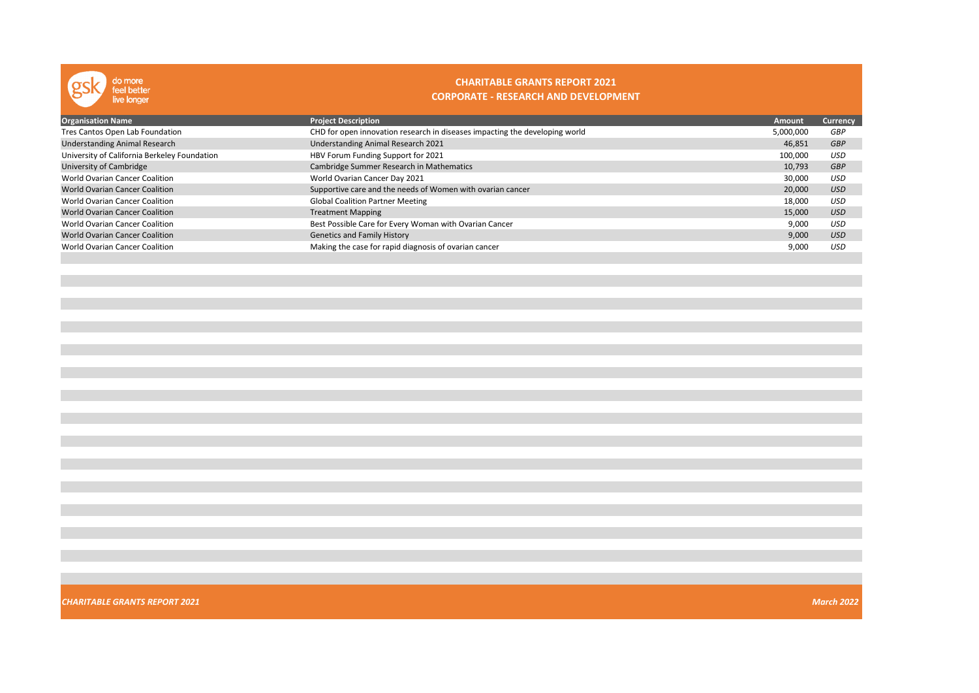

**Contract** 

## CHARITABLE GRANTS REPORT 2021 CORPORATE - RESEARCH AND DEVELOPMENT

| <b>Organisation Name</b>                     | <b>Project Description</b>                                                  | Amount    | Currency   |
|----------------------------------------------|-----------------------------------------------------------------------------|-----------|------------|
| Tres Cantos Open Lab Foundation              | CHD for open innovation research in diseases impacting the developing world | 5,000,000 | GBP        |
| <b>Understanding Animal Research</b>         | Understanding Animal Research 2021                                          | 46,851    | <b>GBP</b> |
| University of California Berkeley Foundation | HBV Forum Funding Support for 2021                                          | 100,000   | USD        |
| University of Cambridge                      | Cambridge Summer Research in Mathematics                                    | 10,793    | <b>GBP</b> |
| <b>World Ovarian Cancer Coalition</b>        | World Ovarian Cancer Day 2021                                               | 30,000    | USD        |
| <b>World Ovarian Cancer Coalition</b>        | Supportive care and the needs of Women with ovarian cancer                  | 20,000    | <b>USD</b> |
| World Ovarian Cancer Coalition               | <b>Global Coalition Partner Meeting</b>                                     | 18,000    | <b>USD</b> |
| <b>World Ovarian Cancer Coalition</b>        | <b>Treatment Mapping</b>                                                    | 15,000    | <b>USD</b> |
| World Ovarian Cancer Coalition               | Best Possible Care for Every Woman with Ovarian Cancer                      | 9,000     | <b>USD</b> |
| <b>World Ovarian Cancer Coalition</b>        | <b>Genetics and Family History</b>                                          | 9,000     | <b>USD</b> |
| World Ovarian Cancer Coalition               | Making the case for rapid diagnosis of ovarian cancer                       | 9,000     | <b>USD</b> |
|                                              |                                                                             |           |            |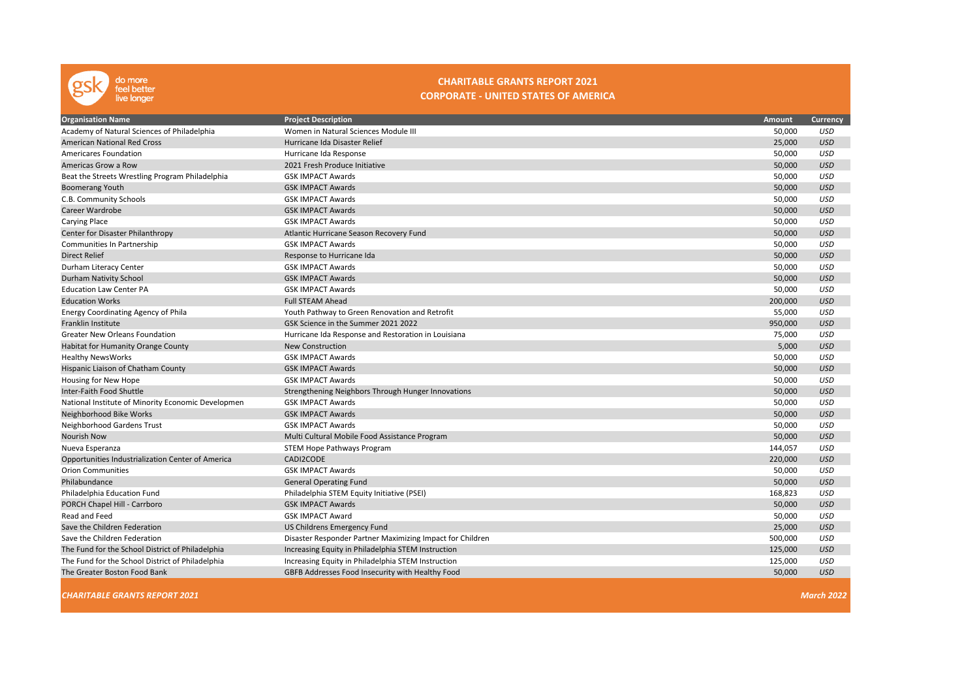

### CHARITABLE GRANTS REPORT 2021 CORPORATE - UNITED STATES OF AMERICA

| <b>Organisation Name</b>                           | <b>Project Description</b>                                | Amount  | <b>Currency</b>   |
|----------------------------------------------------|-----------------------------------------------------------|---------|-------------------|
| Academy of Natural Sciences of Philadelphia        | Women in Natural Sciences Module III                      | 50,000  | USD               |
| <b>American National Red Cross</b>                 | Hurricane Ida Disaster Relief                             | 25,000  | <b>USD</b>        |
| <b>Americares Foundation</b>                       | Hurricane Ida Response                                    | 50,000  | <b>USD</b>        |
| Americas Grow a Row                                | 2021 Fresh Produce Initiative                             | 50,000  | <b>USD</b>        |
| Beat the Streets Wrestling Program Philadelphia    | <b>GSK IMPACT Awards</b>                                  | 50,000  | <b>USD</b>        |
| <b>Boomerang Youth</b>                             | <b>GSK IMPACT Awards</b>                                  | 50,000  | <b>USD</b>        |
| C.B. Community Schools                             | <b>GSK IMPACT Awards</b>                                  | 50,000  | <b>USD</b>        |
| Career Wardrobe                                    | <b>GSK IMPACT Awards</b>                                  | 50,000  | <b>USD</b>        |
| Carying Place                                      | <b>GSK IMPACT Awards</b>                                  | 50,000  | <b>USD</b>        |
| Center for Disaster Philanthropy                   | Atlantic Hurricane Season Recovery Fund                   | 50,000  | <b>USD</b>        |
| Communities In Partnership                         | <b>GSK IMPACT Awards</b>                                  | 50,000  | <b>USD</b>        |
| <b>Direct Relief</b>                               | Response to Hurricane Ida                                 | 50,000  | <b>USD</b>        |
| Durham Literacy Center                             | <b>GSK IMPACT Awards</b>                                  | 50,000  | <b>USD</b>        |
| Durham Nativity School                             | <b>GSK IMPACT Awards</b>                                  | 50,000  | <b>USD</b>        |
| <b>Education Law Center PA</b>                     | <b>GSK IMPACT Awards</b>                                  | 50,000  | <b>USD</b>        |
| <b>Education Works</b>                             | <b>Full STEAM Ahead</b>                                   | 200,000 | <b>USD</b>        |
| Energy Coordinating Agency of Phila                | Youth Pathway to Green Renovation and Retrofit            | 55,000  | <b>USD</b>        |
| Franklin Institute                                 | GSK Science in the Summer 2021 2022                       | 950,000 | <b>USD</b>        |
| <b>Greater New Orleans Foundation</b>              | Hurricane Ida Response and Restoration in Louisiana       | 75,000  | <b>USD</b>        |
| Habitat for Humanity Orange County                 | <b>New Construction</b>                                   | 5,000   | <b>USD</b>        |
| <b>Healthy NewsWorks</b>                           | <b>GSK IMPACT Awards</b>                                  | 50,000  | <b>USD</b>        |
| Hispanic Liaison of Chatham County                 | <b>GSK IMPACT Awards</b>                                  | 50,000  | <b>USD</b>        |
| Housing for New Hope                               | <b>GSK IMPACT Awards</b>                                  | 50,000  | <b>USD</b>        |
| Inter-Faith Food Shuttle                           | Strengthening Neighbors Through Hunger Innovations        | 50,000  | <b>USD</b>        |
| National Institute of Minority Economic Developmen | <b>GSK IMPACT Awards</b>                                  | 50,000  | <b>USD</b>        |
| Neighborhood Bike Works                            | <b>GSK IMPACT Awards</b>                                  | 50,000  | <b>USD</b>        |
| Neighborhood Gardens Trust                         | <b>GSK IMPACT Awards</b>                                  | 50,000  | <b>USD</b>        |
| Nourish Now                                        | Multi Cultural Mobile Food Assistance Program             | 50,000  | <b>USD</b>        |
| Nueva Esperanza                                    | STEM Hope Pathways Program                                | 144,057 | <b>USD</b>        |
| Opportunities Industrialization Center of America  | CADI2CODE                                                 | 220,000 | <b>USD</b>        |
| <b>Orion Communities</b>                           | <b>GSK IMPACT Awards</b>                                  | 50,000  | <b>USD</b>        |
| Philabundance                                      | <b>General Operating Fund</b>                             | 50,000  | <b>USD</b>        |
| Philadelphia Education Fund                        | Philadelphia STEM Equity Initiative (PSEI)                | 168,823 | <b>USD</b>        |
| PORCH Chapel Hill - Carrboro                       | <b>GSK IMPACT Awards</b>                                  | 50,000  | <b>USD</b>        |
| Read and Feed                                      | <b>GSK IMPACT Award</b>                                   | 50,000  | <b>USD</b>        |
| Save the Children Federation                       | US Childrens Emergency Fund                               | 25,000  | <b>USD</b>        |
| Save the Children Federation                       | Disaster Responder Partner Maximizing Impact for Children | 500,000 | <b>USD</b>        |
| The Fund for the School District of Philadelphia   | Increasing Equity in Philadelphia STEM Instruction        | 125,000 | <b>USD</b>        |
| The Fund for the School District of Philadelphia   | Increasing Equity in Philadelphia STEM Instruction        | 125,000 | <b>USD</b>        |
| The Greater Boston Food Bank                       | GBFB Addresses Food Insecurity with Healthy Food          | 50,000  | <b>USD</b>        |
| <b>CHARITABLE GRANTS REPORT 2021</b>               |                                                           |         | <b>March 2022</b> |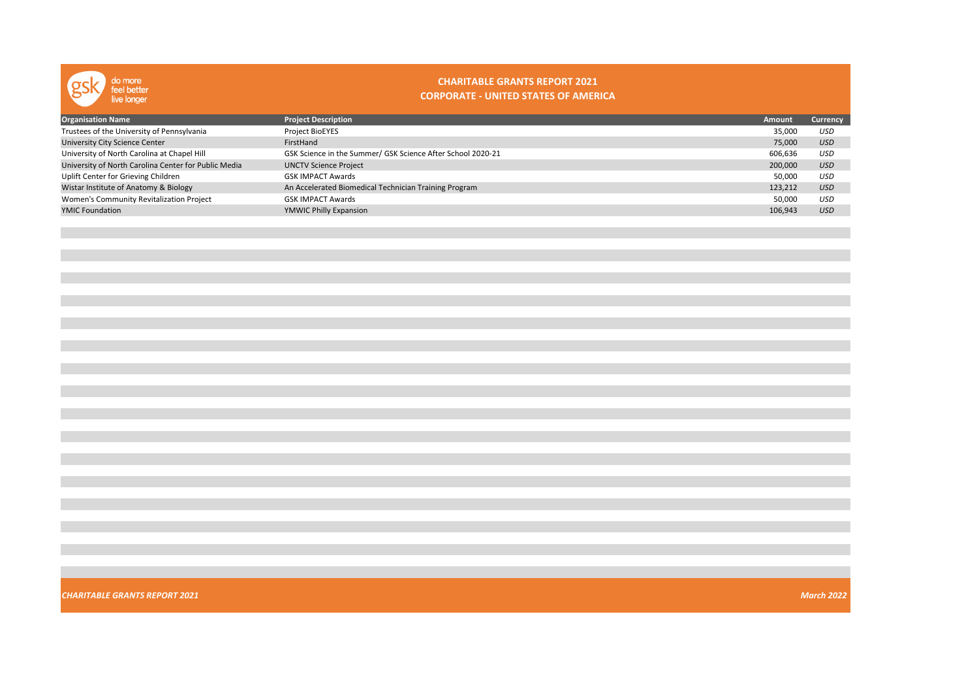

#### CHARITABLE GRANTS REPORT 2021 CORPORATE - UNITED STATES OF AMERICA

| <b>Organisation Name</b>                             | <b>Project Description</b>                                  | <b>Amount</b> | Currency   |
|------------------------------------------------------|-------------------------------------------------------------|---------------|------------|
| Trustees of the University of Pennsylvania           | Project BioEYES                                             | 35,000        | USD        |
| <b>University City Science Center</b>                | FirstHand                                                   | 75,000        | <b>USD</b> |
| University of North Carolina at Chapel Hill          | GSK Science in the Summer/ GSK Science After School 2020-21 | 606.636       | USD        |
| University of North Carolina Center for Public Media | <b>UNCTV Science Project</b>                                | 200,000       | <b>USD</b> |
| Uplift Center for Grieving Children                  | <b>GSK IMPACT Awards</b>                                    | 50,000        | USD        |
| Wistar Institute of Anatomy & Biology                | An Accelerated Biomedical Technician Training Program       | 123.212       | <b>USD</b> |
| Women's Community Revitalization Project             | <b>GSK IMPACT Awards</b>                                    | 50,000        | USD        |
| <b>YMIC Foundation</b>                               | YMWIC Philly Expansion                                      | 106,943       | <b>USD</b> |
|                                                      |                                                             |               |            |

**CHARITABLE GRANTS REPORT 2021** March 2022